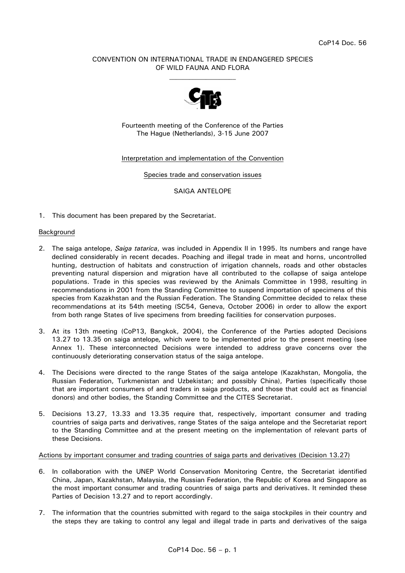# CONVENTION ON INTERNATIONAL TRADE IN ENDANGERED SPECIES OF WILD FAUNA AND FLORA  $\mathcal{L}_\text{max}$



Fourteenth meeting of the Conference of the Parties The Hague (Netherlands), 3-15 June 2007

## Interpretation and implementation of the Convention

Species trade and conservation issues

#### SAIGA ANTELOPE

1. This document has been prepared by the Secretariat.

#### Background

- 2. The saiga antelope, *Saiga tatarica*, was included in Appendix II in 1995. Its numbers and range have declined considerably in recent decades. Poaching and illegal trade in meat and horns, uncontrolled hunting, destruction of habitats and construction of irrigation channels, roads and other obstacles preventing natural dispersion and migration have all contributed to the collapse of saiga antelope populations. Trade in this species was reviewed by the Animals Committee in 1998, resulting in recommendations in 2001 from the Standing Committee to suspend importation of specimens of this species from Kazakhstan and the Russian Federation. The Standing Committee decided to relax these recommendations at its 54th meeting (SC54, Geneva, October 2006) in order to allow the export from both range States of live specimens from breeding facilities for conservation purposes.
- 3. At its 13th meeting (CoP13, Bangkok, 2004), the Conference of the Parties adopted Decisions 13.27 to 13.35 on saiga antelope*,* which were to be implemented prior to the present meeting (see Annex 1). These interconnected Decisions were intended to address grave concerns over the continuously deteriorating conservation status of the saiga antelope.
- 4. The Decisions were directed to the range States of the saiga antelope (Kazakhstan, Mongolia, the Russian Federation, Turkmenistan and Uzbekistan; and possibly China), Parties (specifically those that are important consumers of and traders in saiga products, and those that could act as financial donors) and other bodies, the Standing Committee and the CITES Secretariat.
- 5. Decisions 13.27, 13.33 and 13.35 require that, respectively, important consumer and trading countries of saiga parts and derivatives, range States of the saiga antelope and the Secretariat report to the Standing Committee and at the present meeting on the implementation of relevant parts of these Decisions.

#### Actions by important consumer and trading countries of saiga parts and derivatives (Decision 13.27)

- 6. In collaboration with the UNEP World Conservation Monitoring Centre, the Secretariat identified China, Japan, Kazakhstan, Malaysia, the Russian Federation, the Republic of Korea and Singapore as the most important consumer and trading countries of saiga parts and derivatives. It reminded these Parties of Decision 13.27 and to report accordingly.
- 7. The information that the countries submitted with regard to the saiga stockpiles in their country and the steps they are taking to control any legal and illegal trade in parts and derivatives of the saiga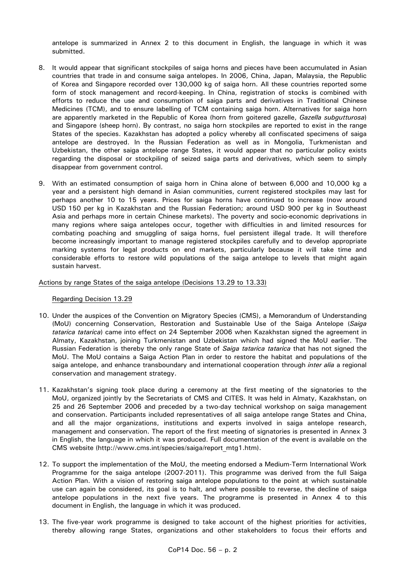antelope is summarized in Annex 2 to this document in English, the language in which it was submitted.

- 8. It would appear that significant stockpiles of saiga horns and pieces have been accumulated in Asian countries that trade in and consume saiga antelopes. In 2006, China, Japan, Malaysia, the Republic of Korea and Singapore recorded over 130,000 kg of saiga horn. All these countries reported some form of stock management and record-keeping. In China, registration of stocks is combined with efforts to reduce the use and consumption of saiga parts and derivatives in Traditional Chinese Medicines (TCM), and to ensure labelling of TCM containing saiga horn. Alternatives for saiga horn are apparently marketed in the Republic of Korea (horn from goitered gazelle, *Gazella subgutturosa*) and Singapore (sheep horn). By contrast, no saiga horn stockpiles are reported to exist in the range States of the species. Kazakhstan has adopted a policy whereby all confiscated specimens of saiga antelope are destroyed. In the Russian Federation as well as in Mongolia, Turkmenistan and Uzbekistan, the other saiga antelope range States, it would appear that no particular policy exists regarding the disposal or stockpiling of seized saiga parts and derivatives, which seem to simply disappear from government control.
- 9. With an estimated consumption of saiga horn in China alone of between 6,000 and 10,000 kg a year and a persistent high demand in Asian communities, current registered stockpiles may last for perhaps another 10 to 15 years. Prices for saiga horns have continued to increase (now around USD 150 per kg in Kazakhstan and the Russian Federation; around USD 900 per kg in Southeast Asia and perhaps more in certain Chinese markets). The poverty and socio-economic deprivations in many regions where saiga antelopes occur, together with difficulties in and limited resources for combating poaching and smuggling of saiga horns, fuel persistent illegal trade. It will therefore become increasingly important to manage registered stockpiles carefully and to develop appropriate marking systems for legal products on end markets, particularly because it will take time and considerable efforts to restore wild populations of the saiga antelope to levels that might again sustain harvest.

Actions by range States of the saiga antelope (Decisions 13.29 to 13.33)

## Regarding Decision 13.29

- 10. Under the auspices of the Convention on Migratory Species (CMS), a Memorandum of Understanding (MoU) concerning Conservation, Restoration and Sustainable Use of the Saiga Antelope (*Saiga tatarica tatarica*) came into effect on 24 September 2006 when Kazakhstan signed the agreement in Almaty, Kazakhstan, joining Turkmenistan and Uzbekistan which had signed the MoU earlier. The Russian Federation is thereby the only range State of *Saiga tatarica tatarica* that has not signed the MoU. The MoU contains a Saiga Action Plan in order to restore the habitat and populations of the saiga antelope, and enhance transboundary and international cooperation through *inter alia* a regional conservation and management strategy.
- 11. Kazakhstan's signing took place during a ceremony at the first meeting of the signatories to the MoU, organized jointly by the Secretariats of CMS and CITES. It was held in Almaty, Kazakhstan, on 25 and 26 September 2006 and preceded by a two-day technical workshop on saiga management and conservation. Participants included representatives of all saiga antelope range States and China, and all the major organizations, institutions and experts involved in saiga antelope research, management and conservation. The report of the first meeting of signatories is presented in Annex 3 in English, the language in which it was produced. Full documentation of the event is available on the CMS website (http://www.cms.int/species/saiga/report\_mtg1.htm).
- 12. To support the implementation of the MoU, the meeting endorsed a Medium-Term International Work Programme for the saiga antelope (2007-2011). This programme was derived from the full Saiga Action Plan. With a vision of restoring saiga antelope populations to the point at which sustainable use can again be considered, its goal is to halt, and where possible to reverse, the decline of saiga antelope populations in the next five years. The programme is presented in Annex 4 to this document in English, the language in which it was produced.
- 13. The five-year work programme is designed to take account of the highest priorities for activities, thereby allowing range States, organizations and other stakeholders to focus their efforts and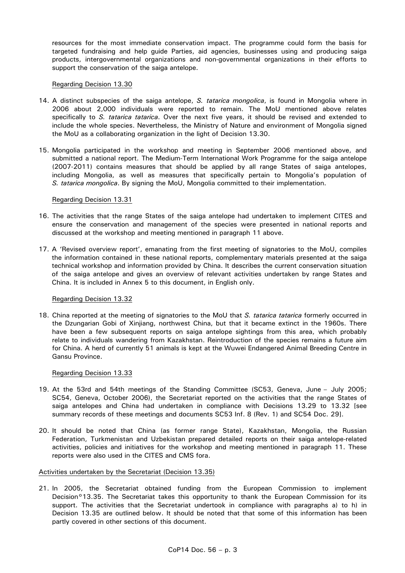resources for the most immediate conservation impact. The programme could form the basis for targeted fundraising and help guide Parties, aid agencies, businesses using and producing saiga products, intergovernmental organizations and non-governmental organizations in their efforts to support the conservation of the saiga antelope.

## Regarding Decision 13.30

- 14. A distinct subspecies of the saiga antelope, *S. tatarica mongolica*, is found in Mongolia where in 2006 about 2,000 individuals were reported to remain. The MoU mentioned above relates specifically to *S. tatarica tatarica*. Over the next five years, it should be revised and extended to include the whole species. Nevertheless, the Ministry of Nature and environment of Mongolia signed the MoU as a collaborating organization in the light of Decision 13.30.
- 15. Mongolia participated in the workshop and meeting in September 2006 mentioned above, and submitted a national report. The Medium-Term International Work Programme for the saiga antelope (2007-2011) contains measures that should be applied by all range States of saiga antelopes, including Mongolia, as well as measures that specifically pertain to Mongolia's population of *S. tatarica mongolica*. By signing the MoU, Mongolia committed to their implementation.

#### Regarding Decision 13.31

- 16. The activities that the range States of the saiga antelope had undertaken to implement CITES and ensure the conservation and management of the species were presented in national reports and discussed at the workshop and meeting mentioned in paragraph 11 above.
- 17. A 'Revised overview report', emanating from the first meeting of signatories to the MoU, compiles the information contained in these national reports, complementary materials presented at the saiga technical workshop and information provided by China. It describes the current conservation situation of the saiga antelope and gives an overview of relevant activities undertaken by range States and China. It is included in Annex 5 to this document, in English only.

## Regarding Decision 13.32

18. China reported at the meeting of signatories to the MoU that *S. tatarica tatarica* formerly occurred in the Dzungarian Gobi of Xinjiang, northwest China, but that it became extinct in the 1960s. There have been a few subsequent reports on saiga antelope sightings from this area, which probably relate to individuals wandering from Kazakhstan. Reintroduction of the species remains a future aim for China. A herd of currently 51 animals is kept at the Wuwei Endangered Animal Breeding Centre in Gansu Province.

## Regarding Decision 13.33

- 19. At the 53rd and 54th meetings of the Standing Committee (SC53, Geneva, June July 2005; SC54, Geneva, October 2006), the Secretariat reported on the activities that the range States of saiga antelopes and China had undertaken in compliance with Decisions 13.29 to 13.32 [see summary records of these meetings and documents SC53 Inf. 8 (Rev. 1) and SC54 Doc. 29].
- 20. It should be noted that China (as former range State), Kazakhstan, Mongolia, the Russian Federation, Turkmenistan and Uzbekistan prepared detailed reports on their saiga antelope-related activities, policies and initiatives for the workshop and meeting mentioned in paragraph 11. These reports were also used in the CITES and CMS fora.

#### Activities undertaken by the Secretariat (Decision 13.35)

21. In 2005, the Secretariat obtained funding from the European Commission to implement Decision°13.35. The Secretariat takes this opportunity to thank the European Commission for its support. The activities that the Secretariat undertook in compliance with paragraphs a) to h) in Decision 13.35 are outlined below. It should be noted that that some of this information has been partly covered in other sections of this document.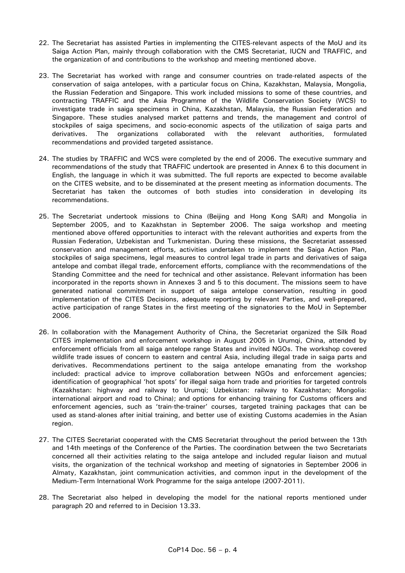- 22. The Secretariat has assisted Parties in implementing the CITES-relevant aspects of the MoU and its Saiga Action Plan, mainly through collaboration with the CMS Secretariat, IUCN and TRAFFIC, and the organization of and contributions to the workshop and meeting mentioned above.
- 23. The Secretariat has worked with range and consumer countries on trade-related aspects of the conservation of saiga antelopes, with a particular focus on China, Kazakhstan, Malaysia, Mongolia, the Russian Federation and Singapore. This work included missions to some of these countries, and contracting TRAFFIC and the Asia Programme of the Wildlife Conservation Society (WCS) to investigate trade in saiga specimens in China, Kazakhstan, Malaysia, the Russian Federation and Singapore. These studies analysed market patterns and trends, the management and control of stockpiles of saiga specimens, and socio-economic aspects of the utilization of saiga parts and derivatives. The organizations collaborated with the relevant authorities, formulated recommendations and provided targeted assistance.
- 24. The studies by TRAFFIC and WCS were completed by the end of 2006. The executive summary and recommendations of the study that TRAFFIC undertook are presented in Annex 6 to this document in English, the language in which it was submitted. The full reports are expected to become available on the CITES website, and to be disseminated at the present meeting as information documents. The Secretariat has taken the outcomes of both studies into consideration in developing its recommendations.
- 25. The Secretariat undertook missions to China (Beijing and Hong Kong SAR) and Mongolia in September 2005, and to Kazakhstan in September 2006. The saiga workshop and meeting mentioned above offered opportunities to interact with the relevant authorities and experts from the Russian Federation, Uzbekistan and Turkmenistan. During these missions, the Secretariat assessed conservation and management efforts, activities undertaken to implement the Saiga Action Plan, stockpiles of saiga specimens, legal measures to control legal trade in parts and derivatives of saiga antelope and combat illegal trade, enforcement efforts, compliance with the recommendations of the Standing Committee and the need for technical and other assistance. Relevant information has been incorporated in the reports shown in Annexes 3 and 5 to this document. The missions seem to have generated national commitment in support of saiga antelope conservation, resulting in good implementation of the CITES Decisions, adequate reporting by relevant Parties, and well-prepared, active participation of range States in the first meeting of the signatories to the MoU in September 2006.
- 26. In collaboration with the Management Authority of China, the Secretariat organized the Silk Road CITES implementation and enforcement workshop in August 2005 in Urumqi, China, attended by enforcement officials from all saiga antelope range States and invited NGOs. The workshop covered wildlife trade issues of concern to eastern and central Asia, including illegal trade in saiga parts and derivatives. Recommendations pertinent to the saiga antelope emanating from the workshop included: practical advice to improve collaboration between NGOs and enforcement agencies; identification of geographical 'hot spots' for illegal saiga horn trade and priorities for targeted controls (Kazakhstan: highway and railway to Urumqi; Uzbekistan: railway to Kazakhstan; Mongolia: international airport and road to China); and options for enhancing training for Customs officers and enforcement agencies, such as 'train-the-trainer' courses, targeted training packages that can be used as stand-alones after initial training, and better use of existing Customs academies in the Asian region.
- 27. The CITES Secretariat cooperated with the CMS Secretariat throughout the period between the 13th and 14th meetings of the Conference of the Parties. The coordination between the two Secretariats concerned all their activities relating to the saiga antelope and included regular liaison and mutual visits, the organization of the technical workshop and meeting of signatories in September 2006 in Almaty, Kazakhstan, joint communication activities, and common input in the development of the Medium-Term International Work Programme for the saiga antelope (2007-2011).
- 28. The Secretariat also helped in developing the model for the national reports mentioned under paragraph 20 and referred to in Decision 13.33.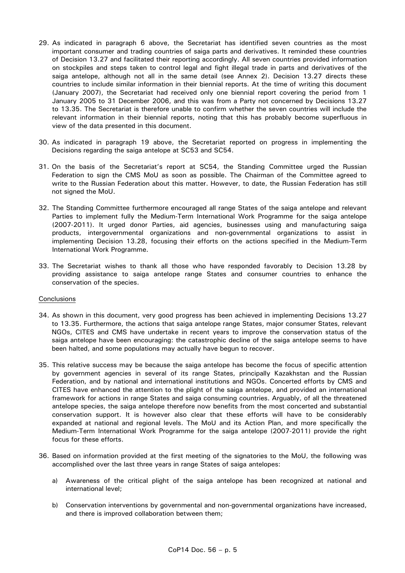- 29. As indicated in paragraph 6 above, the Secretariat has identified seven countries as the most important consumer and trading countries of saiga parts and derivatives. It reminded these countries of Decision 13.27 and facilitated their reporting accordingly. All seven countries provided information on stockpiles and steps taken to control legal and fight illegal trade in parts and derivatives of the saiga antelope, although not all in the same detail (see Annex 2). Decision 13.27 directs these countries to include similar information in their biennial reports. At the time of writing this document (January 2007), the Secretariat had received only one biennial report covering the period from 1 January 2005 to 31 December 2006, and this was from a Party not concerned by Decisions 13.27 to 13.35. The Secretariat is therefore unable to confirm whether the seven countries will include the relevant information in their biennial reports, noting that this has probably become superfluous in view of the data presented in this document.
- 30. As indicated in paragraph 19 above, the Secretariat reported on progress in implementing the Decisions regarding the saiga antelope at SC53 and SC54.
- 31. On the basis of the Secretariat's report at SC54, the Standing Committee urged the Russian Federation to sign the CMS MoU as soon as possible. The Chairman of the Committee agreed to write to the Russian Federation about this matter. However, to date, the Russian Federation has still not signed the MoU.
- 32. The Standing Committee furthermore encouraged all range States of the saiga antelope and relevant Parties to implement fully the Medium-Term International Work Programme for the saiga antelope (2007-2011). It urged donor Parties, aid agencies, businesses using and manufacturing saiga products, intergovernmental organizations and non-governmental organizations to assist in implementing Decision 13.28, focusing their efforts on the actions specified in the Medium-Term International Work Programme.
- 33. The Secretariat wishes to thank all those who have responded favorably to Decision 13.28 by providing assistance to saiga antelope range States and consumer countries to enhance the conservation of the species.

## **Conclusions**

- 34. As shown in this document, very good progress has been achieved in implementing Decisions 13.27 to 13.35. Furthermore, the actions that saiga antelope range States, major consumer States, relevant NGOs, CITES and CMS have undertake in recent years to improve the conservation status of the saiga antelope have been encouraging: the catastrophic decline of the saiga antelope seems to have been halted, and some populations may actually have begun to recover.
- 35. This relative success may be because the saiga antelope has become the focus of specific attention by government agencies in several of its range States, principally Kazakhstan and the Russian Federation, and by national and international institutions and NGOs. Concerted efforts by CMS and CITES have enhanced the attention to the plight of the saiga antelope, and provided an international framework for actions in range States and saiga consuming countries. Arguably, of all the threatened antelope species, the saiga antelope therefore now benefits from the most concerted and substantial conservation support. It is however also clear that these efforts will have to be considerably expanded at national and regional levels. The MoU and its Action Plan, and more specifically the Medium-Term International Work Programme for the saiga antelope (2007-2011) provide the right focus for these efforts.
- 36. Based on information provided at the first meeting of the signatories to the MoU, the following was accomplished over the last three years in range States of saiga antelopes:
	- a) Awareness of the critical plight of the saiga antelope has been recognized at national and international level;
	- b) Conservation interventions by governmental and non-governmental organizations have increased, and there is improved collaboration between them;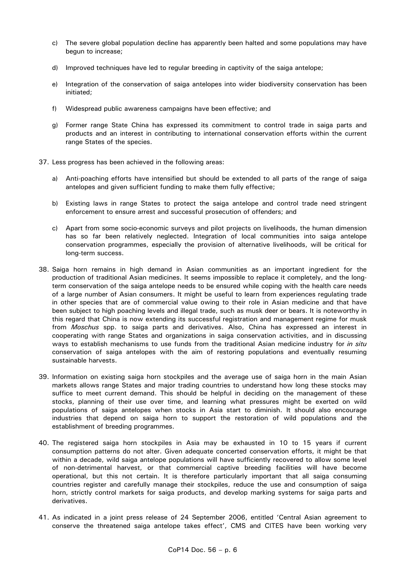- c) The severe global population decline has apparently been halted and some populations may have begun to increase;
- d) Improved techniques have led to regular breeding in captivity of the saiga antelope;
- e) Integration of the conservation of saiga antelopes into wider biodiversity conservation has been initiated;
- f) Widespread public awareness campaigns have been effective; and
- g) Former range State China has expressed its commitment to control trade in saiga parts and products and an interest in contributing to international conservation efforts within the current range States of the species.
- 37. Less progress has been achieved in the following areas:
	- a) Anti-poaching efforts have intensified but should be extended to all parts of the range of saiga antelopes and given sufficient funding to make them fully effective;
	- b) Existing laws in range States to protect the saiga antelope and control trade need stringent enforcement to ensure arrest and successful prosecution of offenders; and
	- c) Apart from some socio-economic surveys and pilot projects on livelihoods, the human dimension has so far been relatively neglected. Integration of local communities into saiga antelope conservation programmes, especially the provision of alternative livelihoods, will be critical for long-term success.
- 38. Saiga horn remains in high demand in Asian communities as an important ingredient for the production of traditional Asian medicines. It seems impossible to replace it completely, and the longterm conservation of the saiga antelope needs to be ensured while coping with the health care needs of a large number of Asian consumers. It might be useful to learn from experiences regulating trade in other species that are of commercial value owing to their role in Asian medicine and that have been subject to high poaching levels and illegal trade, such as musk deer or bears. It is noteworthy in this regard that China is now extending its successful registration and management regime for musk from *Moschus* spp. to saiga parts and derivatives. Also, China has expressed an interest in cooperating with range States and organizations in saiga conservation activities, and in discussing ways to establish mechanisms to use funds from the traditional Asian medicine industry for *in situ* conservation of saiga antelopes with the aim of restoring populations and eventually resuming sustainable harvests.
- 39. Information on existing saiga horn stockpiles and the average use of saiga horn in the main Asian markets allows range States and major trading countries to understand how long these stocks may suffice to meet current demand. This should be helpful in deciding on the management of these stocks, planning of their use over time, and learning what pressures might be exerted on wild populations of saiga antelopes when stocks in Asia start to diminish. It should also encourage industries that depend on saiga horn to support the restoration of wild populations and the establishment of breeding programmes.
- 40. The registered saiga horn stockpiles in Asia may be exhausted in 10 to 15 years if current consumption patterns do not alter. Given adequate concerted conservation efforts, it might be that within a decade, wild saiga antelope populations will have sufficiently recovered to allow some level of non-detrimental harvest, or that commercial captive breeding facilities will have become operational, but this not certain. It is therefore particularly important that all saiga consuming countries register and carefully manage their stockpiles, reduce the use and consumption of saiga horn, strictly control markets for saiga products, and develop marking systems for saiga parts and derivatives.
- 41. As indicated in a joint press release of 24 September 2006, entitled 'Central Asian agreement to conserve the threatened saiga antelope takes effect', CMS and CITES have been working very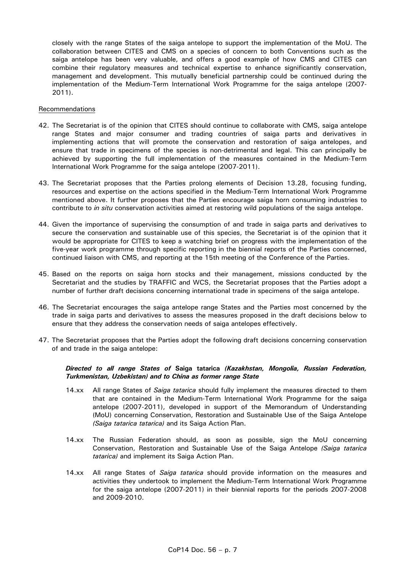closely with the range States of the saiga antelope to support the implementation of the MoU. The collaboration between CITES and CMS on a species of concern to both Conventions such as the saiga antelope has been very valuable, and offers a good example of how CMS and CITES can combine their regulatory measures and technical expertise to enhance significantly conservation, management and development. This mutually beneficial partnership could be continued during the implementation of the Medium-Term International Work Programme for the saiga antelope (2007- 2011).

#### Recommendations

- 42. The Secretariat is of the opinion that CITES should continue to collaborate with CMS, saiga antelope range States and major consumer and trading countries of saiga parts and derivatives in implementing actions that will promote the conservation and restoration of saiga antelopes, and ensure that trade in specimens of the species is non-detrimental and legal. This can principally be achieved by supporting the full implementation of the measures contained in the Medium-Term International Work Programme for the saiga antelope (2007-2011).
- 43. The Secretariat proposes that the Parties prolong elements of Decision 13.28, focusing funding, resources and expertise on the actions specified in the Medium-Term International Work Programme mentioned above. It further proposes that the Parties encourage saiga horn consuming industries to contribute to *in situ* conservation activities aimed at restoring wild populations of the saiga antelope.
- 44. Given the importance of supervising the consumption of and trade in saiga parts and derivatives to secure the conservation and sustainable use of this species, the Secretariat is of the opinion that it would be appropriate for CITES to keep a watching brief on progress with the implementation of the five-year work programme through specific reporting in the biennial reports of the Parties concerned, continued liaison with CMS, and reporting at the 15th meeting of the Conference of the Parties.
- 45. Based on the reports on saiga horn stocks and their management, missions conducted by the Secretariat and the studies by TRAFFIC and WCS, the Secretariat proposes that the Parties adopt a number of further draft decisions concerning international trade in specimens of the saiga antelope.
- 46. The Secretariat encourages the saiga antelope range States and the Parties most concerned by the trade in saiga parts and derivatives to assess the measures proposed in the draft decisions below to ensure that they address the conservation needs of saiga antelopes effectively.
- 47. The Secretariat proposes that the Parties adopt the following draft decisions concerning conservation of and trade in the saiga antelope:

# *Directed to all range States of* **Saiga tatarica** *(Kazakhstan, Mongolia, Russian Federation, Turkmenistan, Uzbekistan) and to China as former range State*

- 14.xx All range States of *Saiga tatarica* should fully implement the measures directed to them that are contained in the Medium-Term International Work Programme for the saiga antelope (2007-2011), developed in support of the Memorandum of Understanding (MoU) concerning Conservation, Restoration and Sustainable Use of the Saiga Antelope *(Saiga tatarica tatarica)* and its Saiga Action Plan.
- 14.xx The Russian Federation should, as soon as possible, sign the MoU concerning Conservation, Restoration and Sustainable Use of the Saiga Antelope *(Saiga tatarica tatarica)* and implement its Saiga Action Plan.
- 14.xx All range States of *Saiga tatarica* should provide information on the measures and activities they undertook to implement the Medium-Term International Work Programme for the saiga antelope (2007-2011) in their biennial reports for the periods 2007-2008 and 2009-2010.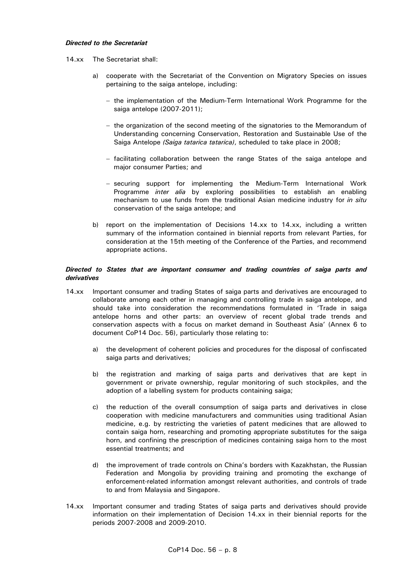#### *Directed to the Secretariat*

- 14.xx The Secretariat shall:
	- a) cooperate with the Secretariat of the Convention on Migratory Species on issues pertaining to the saiga antelope, including:
		- − the implementation of the Medium-Term International Work Programme for the saiga antelope (2007-2011);
		- − the organization of the second meeting of the signatories to the Memorandum of Understanding concerning Conservation, Restoration and Sustainable Use of the Saiga Antelope *(Saiga tatarica tatarica)*, scheduled to take place in 2008;
		- − facilitating collaboration between the range States of the saiga antelope and major consumer Parties; and
		- − securing support for implementing the Medium-Term International Work Programme *inter alia* by exploring possibilities to establish an enabling mechanism to use funds from the traditional Asian medicine industry for *in situ* conservation of the saiga antelope; and
	- b) report on the implementation of Decisions 14.xx to 14.xx, including a written summary of the information contained in biennial reports from relevant Parties, for consideration at the 15th meeting of the Conference of the Parties, and recommend appropriate actions.

## *Directed to States that are important consumer and trading countries of saiga parts and derivatives*

- 14.xx Important consumer and trading States of saiga parts and derivatives are encouraged to collaborate among each other in managing and controlling trade in saiga antelope, and should take into consideration the recommendations formulated in 'Trade in saiga antelope horns and other parts: an overview of recent global trade trends and conservation aspects with a focus on market demand in Southeast Asia' (Annex 6 to document CoP14 Doc. 56), particularly those relating to:
	- a) the development of coherent policies and procedures for the disposal of confiscated saiga parts and derivatives;
	- b) the registration and marking of saiga parts and derivatives that are kept in government or private ownership, regular monitoring of such stockpiles, and the adoption of a labelling system for products containing saiga;
	- c) the reduction of the overall consumption of saiga parts and derivatives in close cooperation with medicine manufacturers and communities using traditional Asian medicine, e.g. by restricting the varieties of patent medicines that are allowed to contain saiga horn, researching and promoting appropriate substitutes for the saiga horn, and confining the prescription of medicines containing saiga horn to the most essential treatments; and
	- d) the improvement of trade controls on China's borders with Kazakhstan, the Russian Federation and Mongolia by providing training and promoting the exchange of enforcement-related information amongst relevant authorities, and controls of trade to and from Malaysia and Singapore.
- 14.xx Important consumer and trading States of saiga parts and derivatives should provide information on their implementation of Decision 14.xx in their biennial reports for the periods 2007-2008 and 2009-2010.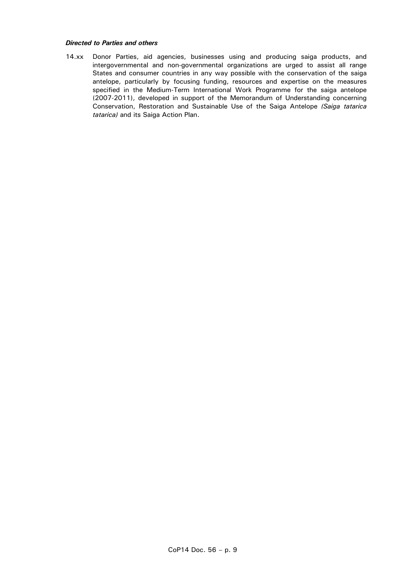# *Directed to Parties and others*

14.xx Donor Parties, aid agencies, businesses using and producing saiga products, and intergovernmental and non-governmental organizations are urged to assist all range States and consumer countries in any way possible with the conservation of the saiga antelope, particularly by focusing funding, resources and expertise on the measures specified in the Medium-Term International Work Programme for the saiga antelope (2007-2011), developed in support of the Memorandum of Understanding concerning Conservation, Restoration and Sustainable Use of the Saiga Antelope *(Saiga tatarica tatarica)* and its Saiga Action Plan.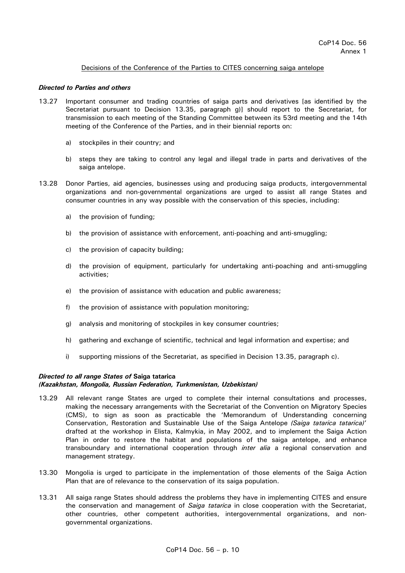# Decisions of the Conference of the Parties to CITES concerning saiga antelope

## *Directed to Parties and others*

- 13.27 Important consumer and trading countries of saiga parts and derivatives [as identified by the Secretariat pursuant to Decision 13.35, paragraph g)] should report to the Secretariat, for transmission to each meeting of the Standing Committee between its 53rd meeting and the 14th meeting of the Conference of the Parties, and in their biennial reports on:
	- a) stockpiles in their country; and
	- b) steps they are taking to control any legal and illegal trade in parts and derivatives of the saiga antelope.
- 13.28 Donor Parties, aid agencies, businesses using and producing saiga products, intergovernmental organizations and non-governmental organizations are urged to assist all range States and consumer countries in any way possible with the conservation of this species, including:
	- a) the provision of funding;
	- b) the provision of assistance with enforcement, anti-poaching and anti-smuggling;
	- c) the provision of capacity building;
	- d) the provision of equipment, particularly for undertaking anti-poaching and anti-smuggling activities;
	- e) the provision of assistance with education and public awareness;
	- f) the provision of assistance with population monitoring;
	- g) analysis and monitoring of stockpiles in key consumer countries;
	- h) gathering and exchange of scientific, technical and legal information and expertise; and
	- i) supporting missions of the Secretariat, as specified in Decision 13.35, paragraph c).

# *Directed to all range States of* **Saiga tatarica**

## *(Kazakhstan, Mongolia, Russian Federation, Turkmenistan, Uzbekistan)*

- 13.29 All relevant range States are urged to complete their internal consultations and processes, making the necessary arrangements with the Secretariat of the Convention on Migratory Species (CMS), to sign as soon as practicable the 'Memorandum of Understanding concerning Conservation, Restoration and Sustainable Use of the Saiga Antelope *(Saiga tatarica tatarica)*' drafted at the workshop in Elista, Kalmykia, in May 2002, and to implement the Saiga Action Plan in order to restore the habitat and populations of the saiga antelope, and enhance transboundary and international cooperation through *inter alia* a regional conservation and management strategy.
- 13.30 Mongolia is urged to participate in the implementation of those elements of the Saiga Action Plan that are of relevance to the conservation of its saiga population.
- 13.31 All saiga range States should address the problems they have in implementing CITES and ensure the conservation and management of *Saiga tatarica* in close cooperation with the Secretariat, other countries, other competent authorities, intergovernmental organizations, and nongovernmental organizations.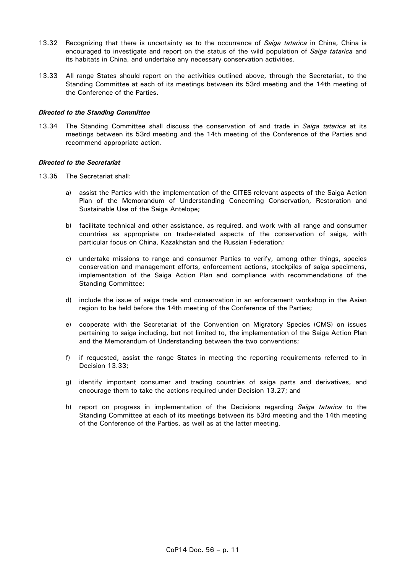- 13.32 Recognizing that there is uncertainty as to the occurrence of *Saiga tatarica* in China, China is encouraged to investigate and report on the status of the wild population of *Saiga tatarica* and its habitats in China, and undertake any necessary conservation activities.
- 13.33 All range States should report on the activities outlined above, through the Secretariat, to the Standing Committee at each of its meetings between its 53rd meeting and the 14th meeting of the Conference of the Parties.

#### *Directed to the Standing Committee*

13.34 The Standing Committee shall discuss the conservation of and trade in *Saiga tatarica* at its meetings between its 53rd meeting and the 14th meeting of the Conference of the Parties and recommend appropriate action.

#### *Directed to the Secretariat*

- 13.35 The Secretariat shall:
	- a) assist the Parties with the implementation of the CITES-relevant aspects of the Saiga Action Plan of the Memorandum of Understanding Concerning Conservation, Restoration and Sustainable Use of the Saiga Antelope;
	- b) facilitate technical and other assistance, as required, and work with all range and consumer countries as appropriate on trade-related aspects of the conservation of saiga, with particular focus on China, Kazakhstan and the Russian Federation;
	- c) undertake missions to range and consumer Parties to verify, among other things, species conservation and management efforts, enforcement actions, stockpiles of saiga specimens, implementation of the Saiga Action Plan and compliance with recommendations of the Standing Committee;
	- d) include the issue of saiga trade and conservation in an enforcement workshop in the Asian region to be held before the 14th meeting of the Conference of the Parties;
	- e) cooperate with the Secretariat of the Convention on Migratory Species (CMS) on issues pertaining to saiga including, but not limited to, the implementation of the Saiga Action Plan and the Memorandum of Understanding between the two conventions;
	- f) if requested, assist the range States in meeting the reporting requirements referred to in Decision 13.33;
	- g) identify important consumer and trading countries of saiga parts and derivatives, and encourage them to take the actions required under Decision 13.27; and
	- h) report on progress in implementation of the Decisions regarding *Saiga tatarica* to the Standing Committee at each of its meetings between its 53rd meeting and the 14th meeting of the Conference of the Parties, as well as at the latter meeting.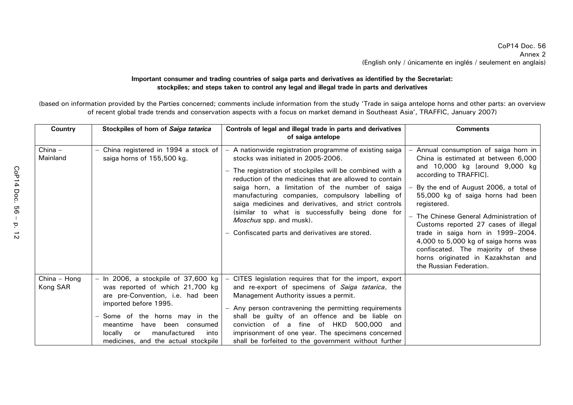# **Important consumer and trading countries of saiga parts and derivatives as identified by the Secretariat: stockpiles; and steps taken to control any legal and illegal trade in parts and derivatives**

(based on information provided by the Parties concerned; comments include information from the study 'Trade in saiga antelope horns and other parts: an overview of recent global trade trends and conservation aspects with a focus on market demand in Southeast Asia', TRAFFIC, January 2007)

| <b>Country</b>           | Stockpiles of horn of Saiga tatarica                                                                                                                                                                                                                                                       | Controls of legal and illegal trade in parts and derivatives<br>of saiga antelope                                                                                                                                                                                                                                                                                                                                                                                                                               | <b>Comments</b>                                                                                                                                                                                                                                                                                                                                                                                                                                                                                          |
|--------------------------|--------------------------------------------------------------------------------------------------------------------------------------------------------------------------------------------------------------------------------------------------------------------------------------------|-----------------------------------------------------------------------------------------------------------------------------------------------------------------------------------------------------------------------------------------------------------------------------------------------------------------------------------------------------------------------------------------------------------------------------------------------------------------------------------------------------------------|----------------------------------------------------------------------------------------------------------------------------------------------------------------------------------------------------------------------------------------------------------------------------------------------------------------------------------------------------------------------------------------------------------------------------------------------------------------------------------------------------------|
| $China -$<br>Mainland    | - China registered in 1994 a stock of<br>saiga horns of 155,500 kg.                                                                                                                                                                                                                        | - A nationwide registration programme of existing saiga<br>stocks was initiated in 2005-2006.<br>The registration of stockpiles will be combined with a<br>reduction of the medicines that are allowed to contain<br>saiga horn, a limitation of the number of saiga<br>manufacturing companies, compulsory labelling of<br>saiga medicines and derivatives, and strict controls<br>(similar to what is successfully being done for<br>Moschus spp. and musk).<br>Confiscated parts and derivatives are stored. | Annual consumption of saiga horn in<br>China is estimated at between 6,000<br>and 10,000 kg [around 9,000 kg<br>according to TRAFFIC].<br>By the end of August 2006, a total of<br>55,000 kg of saiga horns had been<br>registered.<br>The Chinese General Administration of<br>Customs reported 27 cases of illegal<br>trade in saiga horn in 1999-2004.<br>4,000 to 5,000 kg of saiga horns was<br>confiscated. The majority of these<br>horns originated in Kazakhstan and<br>the Russian Federation. |
| China - Hong<br>Kong SAR | $-$ In 2006, a stockpile of 37,600 kg<br>was reported of which 21,700 kg<br>are pre-Convention, i.e. had been<br>imported before 1995.<br>- Some of the horns may in the<br>meantime<br>have been consumed<br>manufactured<br>locally<br>into<br>or<br>medicines, and the actual stockpile | CITES legislation requires that for the import, export<br>$\qquad \qquad -$<br>and re-export of specimens of Saiga tatarica, the<br>Management Authority issues a permit.<br>- Any person contravening the permitting requirements<br>shall be guilty of an offence and be liable on<br>conviction of a fine of HKD<br>500,000 and<br>imprisonment of one year. The specimens concerned<br>shall be forfeited to the government without further                                                                 |                                                                                                                                                                                                                                                                                                                                                                                                                                                                                                          |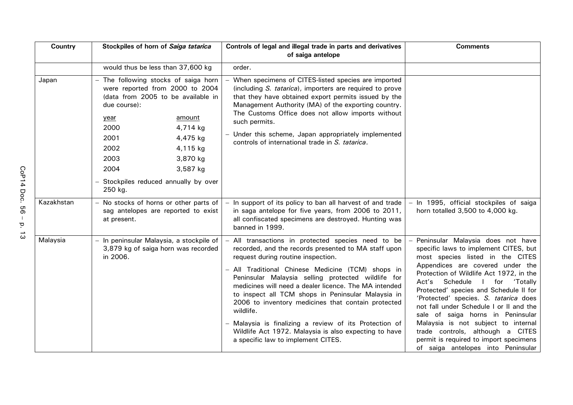| Country    | Stockpiles of horn of Saiga tatarica                                                                                                                                                                                                                                                                | Controls of legal and illegal trade in parts and derivatives<br>of saiga antelope                                                                                                                                                                                                                                                                                                                                                                                                                                                                                                                      | <b>Comments</b>                                                                                                                                                                                                                                                                                                                                                                                                                                                                                                                                                                     |
|------------|-----------------------------------------------------------------------------------------------------------------------------------------------------------------------------------------------------------------------------------------------------------------------------------------------------|--------------------------------------------------------------------------------------------------------------------------------------------------------------------------------------------------------------------------------------------------------------------------------------------------------------------------------------------------------------------------------------------------------------------------------------------------------------------------------------------------------------------------------------------------------------------------------------------------------|-------------------------------------------------------------------------------------------------------------------------------------------------------------------------------------------------------------------------------------------------------------------------------------------------------------------------------------------------------------------------------------------------------------------------------------------------------------------------------------------------------------------------------------------------------------------------------------|
|            | would thus be less than 37,600 kg                                                                                                                                                                                                                                                                   | order.                                                                                                                                                                                                                                                                                                                                                                                                                                                                                                                                                                                                 |                                                                                                                                                                                                                                                                                                                                                                                                                                                                                                                                                                                     |
| Japan      | The following stocks of saiga horn<br>were reported from 2000 to 2004<br>(data from 2005 to be available in<br>due course):<br>amount<br>year<br>2000<br>4,714 kg<br>2001<br>4,475 kg<br>2002<br>4,115 kg<br>2003<br>3,870 kg<br>2004<br>3,587 kg<br>Stockpiles reduced annually by over<br>250 kg. | When specimens of CITES-listed species are imported<br>(including S. tatarica), importers are required to prove<br>that they have obtained export permits issued by the<br>Management Authority (MA) of the exporting country.<br>The Customs Office does not allow imports without<br>such permits.<br>- Under this scheme, Japan appropriately implemented<br>controls of international trade in S. tatarica.                                                                                                                                                                                        |                                                                                                                                                                                                                                                                                                                                                                                                                                                                                                                                                                                     |
| Kazakhstan | - No stocks of horns or other parts of<br>sag antelopes are reported to exist<br>at present.                                                                                                                                                                                                        | - In support of its policy to ban all harvest of and trade<br>in saga antelope for five years, from 2006 to 2011,<br>all confiscated specimens are destroyed. Hunting was<br>banned in 1999.                                                                                                                                                                                                                                                                                                                                                                                                           | - In 1995, official stockpiles of saiga<br>horn totalled 3,500 to 4,000 kg.                                                                                                                                                                                                                                                                                                                                                                                                                                                                                                         |
| Malaysia   | - In peninsular Malaysia, a stockpile of<br>3,879 kg of saiga horn was recorded<br>in 2006.                                                                                                                                                                                                         | - All transactions in protected species need to be<br>recorded, and the records presented to MA staff upon<br>request during routine inspection.<br>- All Traditional Chinese Medicine (TCM) shops in<br>Peninsular Malaysia selling protected wildlife for<br>medicines will need a dealer licence. The MA intended<br>to inspect all TCM shops in Peninsular Malaysia in<br>2006 to inventory medicines that contain protected<br>wildlife.<br>- Malaysia is finalizing a review of its Protection of<br>Wildlife Act 1972. Malaysia is also expecting to have<br>a specific law to implement CITES. | Peninsular Malaysia does not have<br>specific laws to implement CITES, but<br>most species listed in the CITES<br>Appendices are covered under the<br>Protection of Wildlife Act 1972, in the<br>Schedule<br>for<br>Act's<br>'Totally<br>$\mathbf{I}$<br>Protected' species and Schedule II for<br>'Protected' species. S. tatarica does<br>not fall under Schedule I or II and the<br>sale of saiga horns in Peninsular<br>Malaysia is not subject to internal<br>trade controls, although a CITES<br>permit is required to import specimens<br>of saiga antelopes into Peninsular |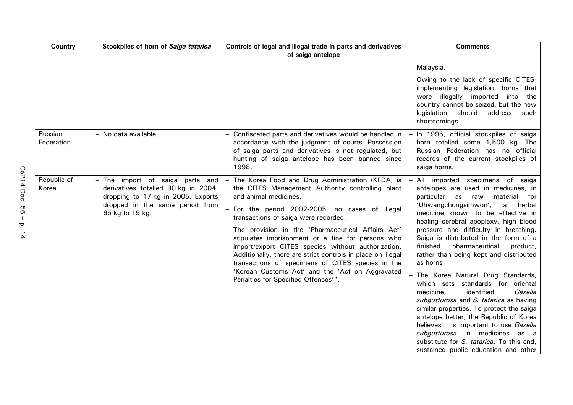| Country               | Stockpiles of horn of Saiga tatarica                                                                                                                               | Controls of legal and illegal trade in parts and derivatives<br>of saiga antelope                                                                                                                                                                                                                                                                                                                                                                                                                                                                                                                          | <b>Comments</b>                                                                                                                                                                                                                                                                                                                                                                                                                                                                                                                                                                                                                                                                                                                                                                                                                                            |
|-----------------------|--------------------------------------------------------------------------------------------------------------------------------------------------------------------|------------------------------------------------------------------------------------------------------------------------------------------------------------------------------------------------------------------------------------------------------------------------------------------------------------------------------------------------------------------------------------------------------------------------------------------------------------------------------------------------------------------------------------------------------------------------------------------------------------|------------------------------------------------------------------------------------------------------------------------------------------------------------------------------------------------------------------------------------------------------------------------------------------------------------------------------------------------------------------------------------------------------------------------------------------------------------------------------------------------------------------------------------------------------------------------------------------------------------------------------------------------------------------------------------------------------------------------------------------------------------------------------------------------------------------------------------------------------------|
|                       |                                                                                                                                                                    |                                                                                                                                                                                                                                                                                                                                                                                                                                                                                                                                                                                                            | Malaysia.<br>- Owing to the lack of specific CITES-<br>implementing legislation, horns that<br>were illegally imported into the<br>country cannot be seized, but the new<br>legislation should<br>address<br>such<br>shortcomings.                                                                                                                                                                                                                                                                                                                                                                                                                                                                                                                                                                                                                         |
| Russian<br>Federation | - No data available.                                                                                                                                               | - Confiscated parts and derivatives would be handled in<br>accordance with the judgment of courts. Possession<br>of saiga parts and derivatives is not regulated, but<br>hunting of saiga antelope has been banned since<br>1998.                                                                                                                                                                                                                                                                                                                                                                          | - In 1995, official stockpiles of saiga<br>horn totalled some 1,500 kg. The<br>Russian Federation has no official<br>records of the current stockpiles of<br>saiga horns.                                                                                                                                                                                                                                                                                                                                                                                                                                                                                                                                                                                                                                                                                  |
| Republic of<br>Korea  | - The import of saiga parts and<br>derivatives totalled 90 kg in 2004,<br>dropping to 17 kg in 2005. Exports<br>dropped in the same period from<br>65 kg to 19 kg. | - The Korea Food and Drug Administration (KFDA) is<br>the CITES Management Authority controlling plant<br>and animal medicines.<br>- For the period 2002-2005, no cases of illegal<br>transactions of saiga were recorded.<br>- The provision in the 'Pharmaceutical Affairs Act'<br>stipulates imprisonment or a fine for persons who<br>import/export CITES species without authorization.<br>Additionally, there are strict controls in place on illegal<br>transactions of specimens of CITES species in the<br>'Korean Customs Act' and the 'Act on Aggravated<br>Penalties for Specified Offences'". | All imported specimens of saiga<br>antelopes are used in medicines, in<br>particular<br>as<br>raw<br>material<br>for<br>'Uhwangchungsimwon',<br>$\mathsf{a}$<br>herbal<br>medicine known to be effective in<br>healing cerebral apoplexy, high blood<br>pressure and difficulty in breathing.<br>Saiga is distributed in the form of a<br>finished<br>pharmaceutical<br>product,<br>rather than being kept and distributed<br>as horns.<br>- The Korea Natural Drug Standards,<br>which sets standards for oriental<br>identified<br>medicine,<br>Gazella<br>subgutturosa and S. tatarica as having<br>similar properties. To protect the saiga<br>antelope better, the Republic of Korea<br>believes it is important to use Gazella<br>subgutturosa in medicines as a<br>substitute for S. tatarica. To this end.<br>sustained public education and other |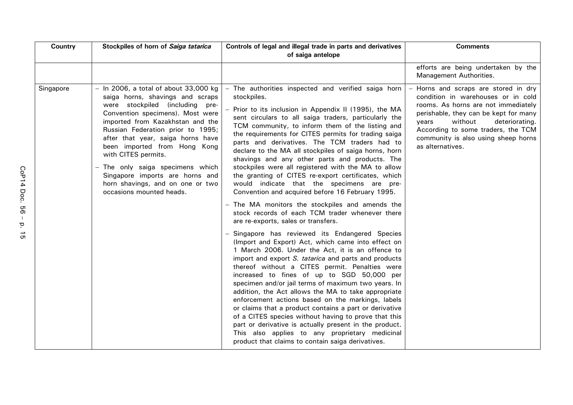| <b>Country</b> | Stockpiles of horn of Saiga tatarica                                                                                                                                                                                                                                                                                                                                                                                                                              | Controls of legal and illegal trade in parts and derivatives<br>of saiga antelope                                                                                                                                                                                                                                                                                                                                                                                                                                                                                                                                                                                                                                                                                                                                                                                                                                                                                                                                                                                                                                                                                                                                                                                                                                                                                                                                                                                                                                                                                                                 | <b>Comments</b>                                                                                                                                                                                                                                                                                 |
|----------------|-------------------------------------------------------------------------------------------------------------------------------------------------------------------------------------------------------------------------------------------------------------------------------------------------------------------------------------------------------------------------------------------------------------------------------------------------------------------|---------------------------------------------------------------------------------------------------------------------------------------------------------------------------------------------------------------------------------------------------------------------------------------------------------------------------------------------------------------------------------------------------------------------------------------------------------------------------------------------------------------------------------------------------------------------------------------------------------------------------------------------------------------------------------------------------------------------------------------------------------------------------------------------------------------------------------------------------------------------------------------------------------------------------------------------------------------------------------------------------------------------------------------------------------------------------------------------------------------------------------------------------------------------------------------------------------------------------------------------------------------------------------------------------------------------------------------------------------------------------------------------------------------------------------------------------------------------------------------------------------------------------------------------------------------------------------------------------|-------------------------------------------------------------------------------------------------------------------------------------------------------------------------------------------------------------------------------------------------------------------------------------------------|
|                |                                                                                                                                                                                                                                                                                                                                                                                                                                                                   |                                                                                                                                                                                                                                                                                                                                                                                                                                                                                                                                                                                                                                                                                                                                                                                                                                                                                                                                                                                                                                                                                                                                                                                                                                                                                                                                                                                                                                                                                                                                                                                                   | efforts are being undertaken by the<br>Management Authorities.                                                                                                                                                                                                                                  |
| Singapore      | $-$ In 2006, a total of about 33,000 kg<br>saiga horns, shavings and scraps<br>were stockpiled (including<br>pre-<br>Convention specimens). Most were<br>imported from Kazakhstan and the<br>Russian Federation prior to 1995;<br>after that year, saiga horns have<br>been imported from Hong Kong<br>with CITES permits.<br>- The only saiga specimens which<br>Singapore imports are horns and<br>horn shavings, and on one or two<br>occasions mounted heads. | - The authorities inspected and verified saiga horn<br>stockpiles.<br>Prior to its inclusion in Appendix II (1995), the MA<br>sent circulars to all saiga traders, particularly the<br>TCM community, to inform them of the listing and<br>the requirements for CITES permits for trading saiga<br>parts and derivatives. The TCM traders had to<br>declare to the MA all stockpiles of saiga horns, horn<br>shavings and any other parts and products. The<br>stockpiles were all registered with the MA to allow<br>the granting of CITES re-export certificates, which<br>would indicate that the specimens are pre-<br>Convention and acquired before 16 February 1995.<br>- The MA monitors the stockpiles and amends the<br>stock records of each TCM trader whenever there<br>are re-exports, sales or transfers.<br>Singapore has reviewed its Endangered Species<br>(Import and Export) Act, which came into effect on<br>1 March 2006. Under the Act, it is an offence to<br>import and export S. tatarica and parts and products<br>thereof without a CITES permit. Penalties were<br>increased to fines of up to SGD 50,000 per<br>specimen and/or jail terms of maximum two years. In<br>addition, the Act allows the MA to take appropriate<br>enforcement actions based on the markings, labels<br>or claims that a product contains a part or derivative<br>of a CITES species without having to prove that this<br>part or derivative is actually present in the product.<br>This also applies to any proprietary medicinal<br>product that claims to contain saiga derivatives. | Horns and scraps are stored in dry<br>condition in warehouses or in cold<br>rooms. As horns are not immediately<br>perishable, they can be kept for many<br>without<br>deteriorating.<br>vears<br>According to some traders, the TCM<br>community is also using sheep horns<br>as alternatives. |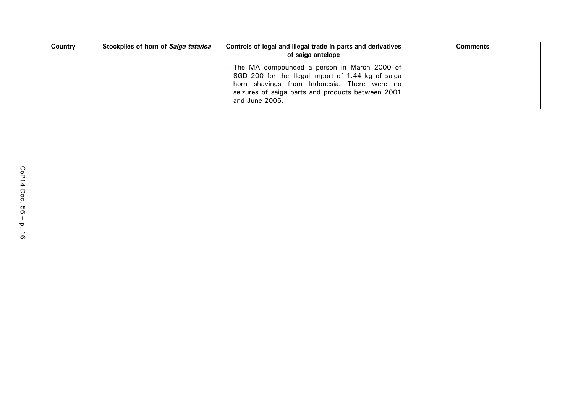| Country | Stockpiles of horn of Saiga tatarica | Controls of legal and illegal trade in parts and derivatives  <br>of saiga antelope                                                                                                                                     | Comments |
|---------|--------------------------------------|-------------------------------------------------------------------------------------------------------------------------------------------------------------------------------------------------------------------------|----------|
|         |                                      | The MA compounded a person in March 2000 of<br>SGD 200 for the illegal import of 1.44 kg of saiga<br>horn shavings from Indonesia. There were no<br>seizures of saiga parts and products between 2001<br>and June 2006. |          |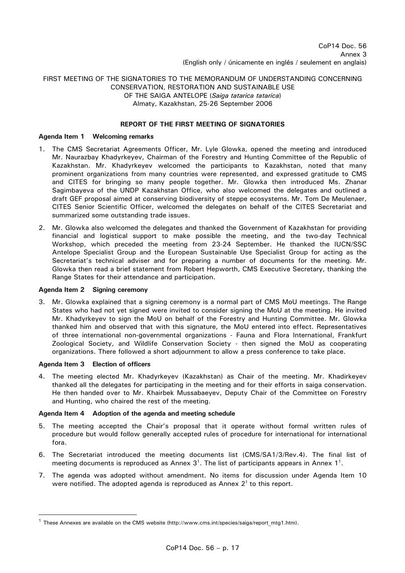# FIRST MEETING OF THE SIGNATORIES TO THE MEMORANDUM OF UNDERSTANDING CONCERNING CONSERVATION, RESTORATION AND SUSTAINABLE USE OF THE SAIGA ANTELOPE (*Saiga tatarica tatarica*) Almaty, Kazakhstan, 25-26 September 2006

# **REPORT OF THE FIRST MEETING OF SIGNATORIES**

#### **Agenda Item 1 Welcoming remarks**

- 1. The CMS Secretariat Agreements Officer, Mr. Lyle Glowka, opened the meeting and introduced Mr. Naurazbay Khadyrkeyev, Chairman of the Forestry and Hunting Committee of the Republic of Kazakhstan. Mr. Khadyrkeyev welcomed the participants to Kazakhstan, noted that many prominent organizations from many countries were represented, and expressed gratitude to CMS and CITES for bringing so many people together. Mr. Glowka then introduced Ms. Zhanar Sagimbayeva of the UNDP Kazakhstan Office, who also welcomed the delegates and outlined a draft GEF proposal aimed at conserving biodiversity of steppe ecosystems. Mr. Tom De Meulenaer, CITES Senior Scientific Officer, welcomed the delegates on behalf of the CITES Secretariat and summarized some outstanding trade issues.
- 2. Mr. Glowka also welcomed the delegates and thanked the Government of Kazakhstan for providing financial and logistical support to make possible the meeting, and the two-day Technical Workshop, which preceded the meeting from 23-24 September. He thanked the IUCN/SSC Antelope Specialist Group and the European Sustainable Use Specialist Group for acting as the Secretariat's technical adviser and for preparing a number of documents for the meeting. Mr. Glowka then read a brief statement from Robert Hepworth, CMS Executive Secretary, thanking the Range States for their attendance and participation.

#### **Agenda Item 2 Signing ceremony**

3. Mr. Glowka explained that a signing ceremony is a normal part of CMS MoU meetings. The Range States who had not yet signed were invited to consider signing the MoU at the meeting. He invited Mr. Khadyrkeyev to sign the MoU on behalf of the Forestry and Hunting Committee. Mr. Glowka thanked him and observed that with this signature, the MoU entered into effect. Representatives of three international non-governmental organizations - Fauna and Flora International, Frankfurt Zoological Society, and Wildlife Conservation Society - then signed the MoU as cooperating organizations. There followed a short adjournment to allow a press conference to take place.

#### **Agenda Item 3 Election of officers**

 $\overline{a}$ 

4. The meeting elected Mr. Khadyrkeyev (Kazakhstan) as Chair of the meeting. Mr. Khadirkeyev thanked all the delegates for participating in the meeting and for their efforts in saiga conservation. He then handed over to Mr. Khairbek Mussabaeyev, Deputy Chair of the Committee on Forestry and Hunting, who chaired the rest of the meeting.

## **Agenda Item 4 Adoption of the agenda and meeting schedule**

- 5. The meeting accepted the Chair's proposal that it operate without formal written rules of procedure but would follow generally accepted rules of procedure for international for international fora.
- 6. The Secretariat introduced the meeting documents list (CMS/SA1/3/Rev.4). The final list of meeting documents is reproduced as Annex  $3<sup>1</sup>$ . The list of participants appears in Annex 1<sup>1</sup>.
- 7. The agenda was adopted without amendment. No items for discussion under Agenda Item 10 were notified. The adopted agenda is reproduced as Annex  $2<sup>1</sup>$  to this report.

 $1$  These Annexes are available on the CMS website (http://www.cms.int/species/saiga/report\_mtg1.htm).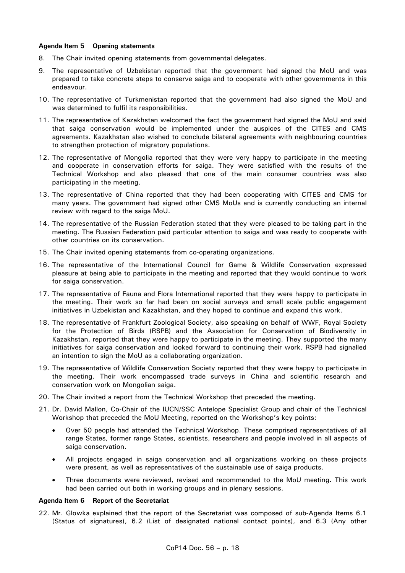## **Agenda Item 5 Opening statements**

- 8. The Chair invited opening statements from governmental delegates.
- 9. The representative of Uzbekistan reported that the government had signed the MoU and was prepared to take concrete steps to conserve saiga and to cooperate with other governments in this endeavour.
- 10. The representative of Turkmenistan reported that the government had also signed the MoU and was determined to fulfil its responsibilities.
- 11. The representative of Kazakhstan welcomed the fact the government had signed the MoU and said that saiga conservation would be implemented under the auspices of the CITES and CMS agreements. Kazakhstan also wished to conclude bilateral agreements with neighbouring countries to strengthen protection of migratory populations.
- 12. The representative of Mongolia reported that they were very happy to participate in the meeting and cooperate in conservation efforts for saiga. They were satisfied with the results of the Technical Workshop and also pleased that one of the main consumer countries was also participating in the meeting.
- 13. The representative of China reported that they had been cooperating with CITES and CMS for many years. The government had signed other CMS MoUs and is currently conducting an internal review with regard to the saiga MoU.
- 14. The representative of the Russian Federation stated that they were pleased to be taking part in the meeting. The Russian Federation paid particular attention to saiga and was ready to cooperate with other countries on its conservation.
- 15. The Chair invited opening statements from co-operating organizations.
- 16. The representative of the International Council for Game & Wildlife Conservation expressed pleasure at being able to participate in the meeting and reported that they would continue to work for saiga conservation.
- 17. The representative of Fauna and Flora International reported that they were happy to participate in the meeting. Their work so far had been on social surveys and small scale public engagement initiatives in Uzbekistan and Kazakhstan, and they hoped to continue and expand this work.
- 18. The representative of Frankfurt Zoological Society, also speaking on behalf of WWF, Royal Society for the Protection of Birds (RSPB) and the Association for Conservation of Biodiversity in Kazakhstan, reported that they were happy to participate in the meeting. They supported the many initiatives for saiga conservation and looked forward to continuing their work. RSPB had signalled an intention to sign the MoU as a collaborating organization.
- 19. The representative of Wildlife Conservation Society reported that they were happy to participate in the meeting. Their work encompassed trade surveys in China and scientific research and conservation work on Mongolian saiga.
- 20. The Chair invited a report from the Technical Workshop that preceded the meeting.
- 21. Dr. David Mallon, Co-Chair of the IUCN/SSC Antelope Specialist Group and chair of the Technical Workshop that preceded the MoU Meeting, reported on the Workshop's key points:
	- Over 50 people had attended the Technical Workshop. These comprised representatives of all range States, former range States, scientists, researchers and people involved in all aspects of saiga conservation.
	- All projects engaged in saiga conservation and all organizations working on these projects were present, as well as representatives of the sustainable use of saiga products.
	- Three documents were reviewed, revised and recommended to the MoU meeting. This work had been carried out both in working groups and in plenary sessions.

#### **Agenda Item 6 Report of the Secretariat**

22. Mr. Glowka explained that the report of the Secretariat was composed of sub-Agenda Items 6.1 (Status of signatures), 6.2 (List of designated national contact points), and 6.3 (Any other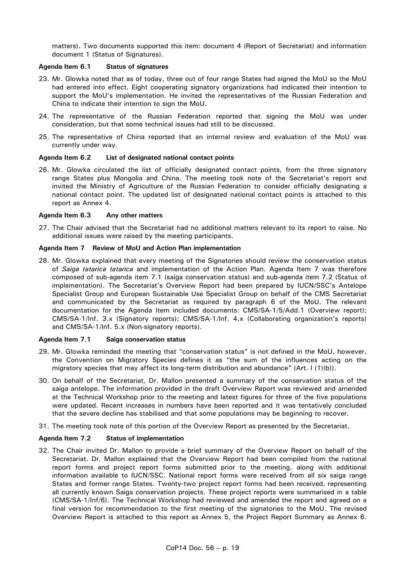matters). Two documents supported this item: document 4 (Report of Secretariat) and information document 1 (Status of Signatures).

# **Agenda Item 6.1 Status of signatures**

- 23. Mr. Glowka noted that as of today, three out of four range States had signed the MoU so the MoU had entered into effect. Eight cooperating signatory organizations had indicated their intention to support the MoU's implementation. He invited the representatives of the Russian Federation and China to indicate their intention to sign the MoU.
- 24. The representative of the Russian Federation reported that signing the MoU was under consideration, but that some technical issues had still to be discussed.
- 25. The representative of China reported that an internal review and evaluation of the MoU was currently under way.

# **Agenda Item 6.2 List of designated national contact points**

26. Mr. Glowka circulated the list of officially designated contact points, from the three signatory range States plus Mongolia and China. The meeting took note of the Secretariat's report and invited the Ministry of Agriculture of the Russian Federation to consider officially designating a national contact point. The updated list of designated national contact points is attached to this report as Annex 4.

## **Agenda Item 6.3 Any other matters**

27. The Chair advised that the Secretariat had no additional matters relevant to its report to raise. No additional issues were raised by the meeting participants.

## **Agenda Item 7 Review of MoU and Action Plan implementation**

28. Mr. Glowka explained that every meeting of the Signatories should review the conservation status of *Saiga tatarica tatarica* and implementation of the Action Plan. Agenda Item 7 was therefore composed of sub-agenda item 7.1 (saiga conservation status) and sub-agenda item 7.2 (Status of implementation). The Secretariat's Overview Report had been prepared by IUCN/SSC's Antelope Specialist Group and European Sustainable Use Specialist Group on behalf of the CMS Secretariat and communicated by the Secretariat as required by paragraph 6 of the MoU. The relevant documentation for the Agenda Item included documents: CMS/SA-1/5/Add.1 (Overview report); CMS/SA-1/Inf. 3.x (Signatory reports); CMS/SA-1/Inf. 4.x (Collaborating organization's reports) and CMS/SA-1/Inf. 5.x (Non-signatory reports).

## **Agenda Item 7.1 Saiga conservation status**

- 29. Mr. Glowka reminded the meeting that "conservation status" is not defined in the MoU, however, the Convention on Migratory Species defines it as "the sum of the influences acting on the migratory species that may affect its long-term distribution and abundance" (Art. I (1)(b)).
- 30. On behalf of the Secretariat, Dr. Mallon presented a summary of the conservation status of the saiga antelope. The information provided in the draft Overview Report was reviewed and amended at the Technical Workshop prior to the meeting and latest figures for three of the five populations were updated. Recent increases in numbers have been reported and it was tentatively concluded that the severe decline has stabilised and that some populations may be beginning to recover.
- 31. The meeting took note of this portion of the Overview Report as presented by the Secretariat.

## **Agenda Item 7.2 Status of implementation**

32. The Chair invited Dr. Mallon to provide a brief summary of the Overview Report on behalf of the Secretariat. Dr. Mallon explained that the Overview Report had been compiled from the national report forms and project report forms submitted prior to the meeting, along with additional information available to IUCN/SSC. National report forms were received from all six saiga range States and former range States. Twenty-two project report forms had been received, representing all currently known Saiga conservation projects. These project reports were summarised in a table (CMS/SA-1/Inf/6). The Technical Workshop had reviewed and amended the report and agreed on a final version for recommendation to the first meeting of the signatories to the MoU. The revised Overview Report is attached to this report as Annex 5, the Project Report Summary as Annex 6.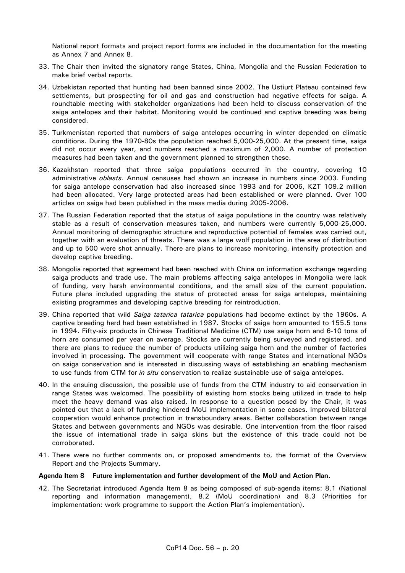National report formats and project report forms are included in the documentation for the meeting as Annex 7 and Annex 8.

- 33. The Chair then invited the signatory range States, China, Mongolia and the Russian Federation to make brief verbal reports.
- 34. Uzbekistan reported that hunting had been banned since 2002. The Ustiurt Plateau contained few settlements, but prospecting for oil and gas and construction had negative effects for saiga. A roundtable meeting with stakeholder organizations had been held to discuss conservation of the saiga antelopes and their habitat. Monitoring would be continued and captive breeding was being considered.
- 35. Turkmenistan reported that numbers of saiga antelopes occurring in winter depended on climatic conditions. During the 1970-80s the population reached 5,000-25,000. At the present time, saiga did not occur every year, and numbers reached a maximum of 2,000. A number of protection measures had been taken and the government planned to strengthen these.
- 36. Kazakhstan reported that three saiga populations occurred in the country, covering 10 administrative *oblasts*. Annual censuses had shown an increase in numbers since 2003. Funding for saiga antelope conservation had also increased since 1993 and for 2006, KZT 109.2 million had been allocated. Very large protected areas had been established or were planned. Over 100 articles on saiga had been published in the mass media during 2005-2006.
- 37. The Russian Federation reported that the status of saiga populations in the country was relatively stable as a result of conservation measures taken, and numbers were currently 5,000-25,000. Annual monitoring of demographic structure and reproductive potential of females was carried out, together with an evaluation of threats. There was a large wolf population in the area of distribution and up to 500 were shot annually. There are plans to increase monitoring, intensify protection and develop captive breeding.
- 38. Mongolia reported that agreement had been reached with China on information exchange regarding saiga products and trade use. The main problems affecting saiga antelopes in Mongolia were lack of funding, very harsh environmental conditions, and the small size of the current population. Future plans included upgrading the status of protected areas for saiga antelopes, maintaining existing programmes and developing captive breeding for reintroduction.
- 39. China reported that wild *Saiga tatarica tatarica* populations had become extinct by the 1960s. A captive breeding herd had been established in 1987. Stocks of saiga horn amounted to 155.5 tons in 1994. Fifty-six products in Chinese Traditional Medicine (CTM) use saiga horn and 6-10 tons of horn are consumed per year on average. Stocks are currently being surveyed and registered, and there are plans to reduce the number of products utilizing saiga horn and the number of factories involved in processing. The government will cooperate with range States and international NGOs on saiga conservation and is interested in discussing ways of establishing an enabling mechanism to use funds from CTM for *in situ* conservation to realize sustainable use of saiga antelopes.
- 40. In the ensuing discussion, the possible use of funds from the CTM industry to aid conservation in range States was welcomed. The possibility of existing horn stocks being utilized in trade to help meet the heavy demand was also raised. In response to a question posed by the Chair, it was pointed out that a lack of funding hindered MoU implementation in some cases. Improved bilateral cooperation would enhance protection in transboundary areas. Better collaboration between range States and between governments and NGOs was desirable. One intervention from the floor raised the issue of international trade in saiga skins but the existence of this trade could not be corroborated.
- 41. There were no further comments on, or proposed amendments to, the format of the Overview Report and the Projects Summary.

## **Agenda Item 8 Future implementation and further development of the MoU and Action Plan.**

42. The Secretariat introduced Agenda Item 8 as being composed of sub-agenda items: 8.1 (National reporting and information management), 8.2 (MoU coordination) and 8.3 (Priorities for implementation: work programme to support the Action Plan's implementation).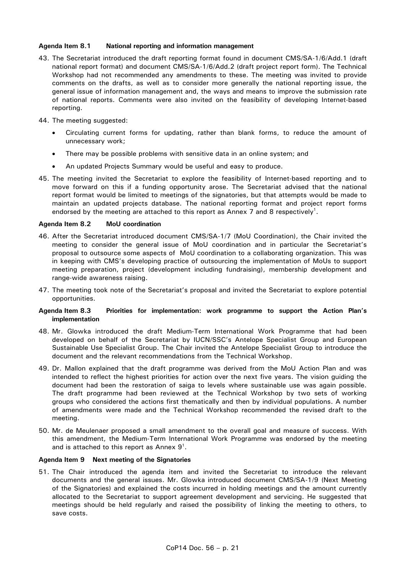## **Agenda Item 8.1 National reporting and information management**

- 43. The Secretariat introduced the draft reporting format found in document CMS/SA-1/6/Add.1 (draft national report format) and document CMS/SA-1/6/Add.2 (draft project report form). The Technical Workshop had not recommended any amendments to these. The meeting was invited to provide comments on the drafts, as well as to consider more generally the national reporting issue, the general issue of information management and, the ways and means to improve the submission rate of national reports. Comments were also invited on the feasibility of developing Internet-based reporting.
- 44. The meeting suggested:
	- Circulating current forms for updating, rather than blank forms, to reduce the amount of unnecessary work;
	- There may be possible problems with sensitive data in an online system; and
	- An updated Projects Summary would be useful and easy to produce.
- 45. The meeting invited the Secretariat to explore the feasibility of Internet-based reporting and to move forward on this if a funding opportunity arose. The Secretariat advised that the national report format would be limited to meetings of the signatories, but that attempts would be made to maintain an updated projects database. The national reporting format and project report forms endorsed by the meeting are attached to this report as Annex 7 and 8 respectively<sup>1</sup>.

## **Agenda Item 8.2 MoU coordination**

- 46. After the Secretariat introduced document CMS/SA-1/7 (MoU Coordination), the Chair invited the meeting to consider the general issue of MoU coordination and in particular the Secretariat's proposal to outsource some aspects of MoU coordination to a collaborating organization. This was in keeping with CMS's developing practice of outsourcing the implementation of MoUs to support meeting preparation, project (development including fundraising), membership development and range-wide awareness raising.
- 47. The meeting took note of the Secretariat's proposal and invited the Secretariat to explore potential opportunities.

## **Agenda Item 8.3 Priorities for implementation: work programme to support the Action Plan's implementation**

- 48. Mr. Glowka introduced the draft Medium-Term International Work Programme that had been developed on behalf of the Secretariat by IUCN/SSC's Antelope Specialist Group and European Sustainable Use Specialist Group. The Chair invited the Antelope Specialist Group to introduce the document and the relevant recommendations from the Technical Workshop.
- 49. Dr. Mallon explained that the draft programme was derived from the MoU Action Plan and was intended to reflect the highest priorities for action over the next five years. The vision guiding the document had been the restoration of saiga to levels where sustainable use was again possible. The draft programme had been reviewed at the Technical Workshop by two sets of working groups who considered the actions first thematically and then by individual populations. A number of amendments were made and the Technical Workshop recommended the revised draft to the meeting.
- 50. Mr. de Meulenaer proposed a small amendment to the overall goal and measure of success. With this amendment, the Medium-Term International Work Programme was endorsed by the meeting and is attached to this report as Annex  $9^1$ .

## **Agenda Item 9 Next meeting of the Signatories**

51. The Chair introduced the agenda item and invited the Secretariat to introduce the relevant documents and the general issues. Mr. Glowka introduced document CMS/SA-1/9 (Next Meeting of the Signatories) and explained the costs incurred in holding meetings and the amount currently allocated to the Secretariat to support agreement development and servicing. He suggested that meetings should be held regularly and raised the possibility of linking the meeting to others, to save costs.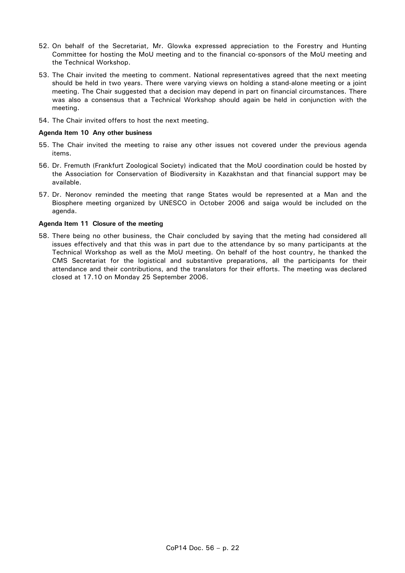- 52. On behalf of the Secretariat, Mr. Glowka expressed appreciation to the Forestry and Hunting Committee for hosting the MoU meeting and to the financial co-sponsors of the MoU meeting and the Technical Workshop.
- 53. The Chair invited the meeting to comment. National representatives agreed that the next meeting should be held in two years. There were varying views on holding a stand-alone meeting or a joint meeting. The Chair suggested that a decision may depend in part on financial circumstances. There was also a consensus that a Technical Workshop should again be held in conjunction with the meeting.
- 54. The Chair invited offers to host the next meeting.

#### **Agenda Item 10 Any other business**

- 55. The Chair invited the meeting to raise any other issues not covered under the previous agenda items.
- 56. Dr. Fremuth (Frankfurt Zoological Society) indicated that the MoU coordination could be hosted by the Association for Conservation of Biodiversity in Kazakhstan and that financial support may be available.
- 57. Dr. Neronov reminded the meeting that range States would be represented at a Man and the Biosphere meeting organized by UNESCO in October 2006 and saiga would be included on the agenda.

#### **Agenda Item 11 Closure of the meeting**

58. There being no other business, the Chair concluded by saying that the meting had considered all issues effectively and that this was in part due to the attendance by so many participants at the Technical Workshop as well as the MoU meeting. On behalf of the host country, he thanked the CMS Secretariat for the logistical and substantive preparations, all the participants for their attendance and their contributions, and the translators for their efforts. The meeting was declared closed at 17.10 on Monday 25 September 2006.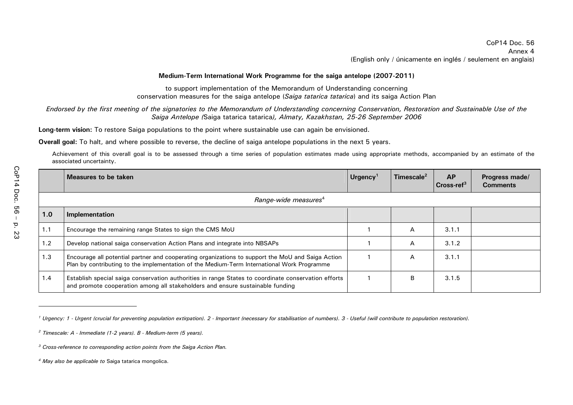#### **Medium-Term International Work Programme for the saiga antelope (2007-2011)**

to support implementation of the Memorandum of Understanding concerning conservation measures for the saiga antelope (*Saiga tatarica tatarica*) and its saiga Action Plan

# *Endorsed by the first meeting of the signatories to the Memorandum of Understanding concerning Conservation, Restoration and Sustainable Use of the Saiga Antelope (*Saiga tatarica tatarica*), Almaty, Kazakhstan, 25-26 September 2006*

**Long-term vision:** To restore Saiga populations to the point where sustainable use can again be envisioned.

**Overall goal:** To halt, and where possible to reverse, the decline of saiga antelope populations in the next 5 years.

Achievement of this overall goal is to be assessed through a time series of population estimates made using appropriate methods, accompanied by an estimate of the associated uncertainty.

|     | Measures to be taken                                                                                                                                                                            | Urgency <sup>1</sup> | Timescale <sup>2</sup> | <b>AP</b><br>$Cross-ref3$ | Progress made/<br><b>Comments</b> |  |  |
|-----|-------------------------------------------------------------------------------------------------------------------------------------------------------------------------------------------------|----------------------|------------------------|---------------------------|-----------------------------------|--|--|
|     | Range-wide measures <sup>4</sup>                                                                                                                                                                |                      |                        |                           |                                   |  |  |
| 1.0 | Implementation                                                                                                                                                                                  |                      |                        |                           |                                   |  |  |
| 1.1 | Encourage the remaining range States to sign the CMS MoU                                                                                                                                        |                      | A                      | 3.1.1                     |                                   |  |  |
| 1.2 | Develop national saiga conservation Action Plans and integrate into NBSAPs                                                                                                                      |                      | A                      | 3.1.2                     |                                   |  |  |
| 1.3 | Encourage all potential partner and cooperating organizations to support the MoU and Saiga Action<br>Plan by contributing to the implementation of the Medium-Term International Work Programme |                      | A                      | 3.1.1                     |                                   |  |  |
| 1.4 | Establish special saiga conservation authorities in range States to coordinate conservation efforts<br>and promote cooperation among all stakeholders and ensure sustainable funding            |                      | B                      | 3.1.5                     |                                   |  |  |

<sup>&</sup>lt;sup>1</sup> Urgency: 1 - Urgent (crucial for preventing population extirpation). 2 - Important (necessary for stabilisation of numbers). 3 - Useful (will contribute to population restoration).

*<sup>2</sup> Timescale: A - Immediate (1-2 years). B - Medium-term (5 years).* 

*<sup>3</sup> Cross-reference to corresponding action points from the Saiga Action Plan.* 

*<sup>4</sup> May also be applicable to* Saiga tatarica mongolica.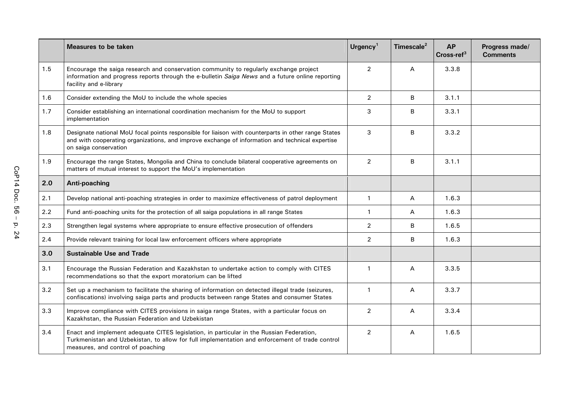|     | <b>Measures to be taken</b>                                                                                                                                                                                                     | Urgency <sup>1</sup> | Timescale <sup>2</sup> | <b>AP</b><br>Cross-ref <sup>3</sup> | Progress made/<br><b>Comments</b> |
|-----|---------------------------------------------------------------------------------------------------------------------------------------------------------------------------------------------------------------------------------|----------------------|------------------------|-------------------------------------|-----------------------------------|
| 1.5 | Encourage the saiga research and conservation community to regularly exchange project<br>information and progress reports through the e-bulletin Saiga News and a future online reporting<br>facility and e-library             | $\overline{2}$       | A                      | 3.3.8                               |                                   |
| 1.6 | Consider extending the MoU to include the whole species                                                                                                                                                                         | $\overline{2}$       | B                      | 3.1.1                               |                                   |
| 1.7 | Consider establishing an international coordination mechanism for the MoU to support<br>implementation                                                                                                                          | 3                    | B                      | 3.3.1                               |                                   |
| 1.8 | Designate national MoU focal points responsible for liaison with counterparts in other range States<br>and with cooperating organizations, and improve exchange of information and technical expertise<br>on saiga conservation | 3                    | B                      | 3.3.2                               |                                   |
| 1.9 | Encourage the range States, Mongolia and China to conclude bilateral cooperative agreements on<br>matters of mutual interest to support the MoU's implementation                                                                | $\overline{2}$       | B                      | 3.1.1                               |                                   |
| 2.0 | Anti-poaching                                                                                                                                                                                                                   |                      |                        |                                     |                                   |
| 2.1 | Develop national anti-poaching strategies in order to maximize effectiveness of patrol deployment                                                                                                                               | $\mathbf{1}$         | А                      | 1.6.3                               |                                   |
| 2.2 | Fund anti-poaching units for the protection of all saiga populations in all range States                                                                                                                                        | $\mathbf{1}$         | Α                      | 1.6.3                               |                                   |
| 2.3 | Strengthen legal systems where appropriate to ensure effective prosecution of offenders                                                                                                                                         | $\overline{2}$       | B                      | 1.6.5                               |                                   |
| 2.4 | Provide relevant training for local law enforcement officers where appropriate                                                                                                                                                  | $\overline{2}$       | B                      | 1.6.3                               |                                   |
| 3.0 | <b>Sustainable Use and Trade</b>                                                                                                                                                                                                |                      |                        |                                     |                                   |
| 3.1 | Encourage the Russian Federation and Kazakhstan to undertake action to comply with CITES<br>recommendations so that the export moratorium can be lifted                                                                         | $\mathbf{1}$         | A                      | 3.3.5                               |                                   |
| 3.2 | Set up a mechanism to facilitate the sharing of information on detected illegal trade (seizures,<br>confiscations) involving saiga parts and products between range States and consumer States                                  | $\mathbf{1}$         | $\overline{A}$         | 3.3.7                               |                                   |
| 3.3 | Improve compliance with CITES provisions in saiga range States, with a particular focus on<br>Kazakhstan, the Russian Federation and Uzbekistan                                                                                 | $\overline{2}$       | Α                      | 3.3.4                               |                                   |
| 3.4 | Enact and implement adequate CITES legislation, in particular in the Russian Federation,<br>Turkmenistan and Uzbekistan, to allow for full implementation and enforcement of trade control<br>measures, and control of poaching | $\overline{2}$       | Α                      | 1.6.5                               |                                   |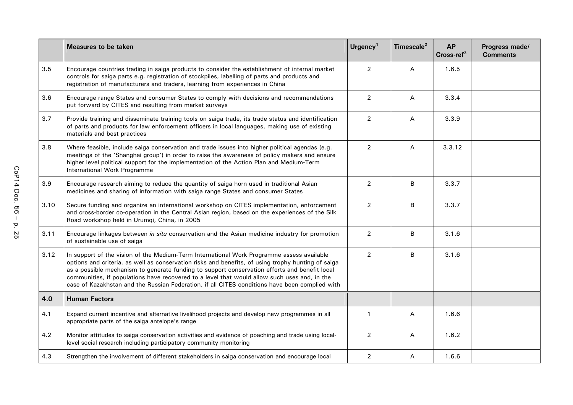|      | <b>Measures to be taken</b>                                                                                                                                                                                                                                                                                                                                                                                                                                                                        | Urgency <sup>1</sup> | Timescale <sup>2</sup> | <b>AP</b><br>$Cross-ref3$ | Progress made/<br><b>Comments</b> |
|------|----------------------------------------------------------------------------------------------------------------------------------------------------------------------------------------------------------------------------------------------------------------------------------------------------------------------------------------------------------------------------------------------------------------------------------------------------------------------------------------------------|----------------------|------------------------|---------------------------|-----------------------------------|
| 3.5  | Encourage countries trading in saiga products to consider the establishment of internal market<br>controls for saiga parts e.g. registration of stockpiles, labelling of parts and products and<br>registration of manufacturers and traders, learning from experiences in China                                                                                                                                                                                                                   | $\overline{2}$       | A                      | 1.6.5                     |                                   |
| 3.6  | Encourage range States and consumer States to comply with decisions and recommendations<br>put forward by CITES and resulting from market surveys                                                                                                                                                                                                                                                                                                                                                  | $\overline{2}$       | Α                      | 3.3.4                     |                                   |
| 3.7  | Provide training and disseminate training tools on saiga trade, its trade status and identification<br>of parts and products for law enforcement officers in local languages, making use of existing<br>materials and best practices                                                                                                                                                                                                                                                               | $\overline{2}$       | Α                      | 3.3.9                     |                                   |
| 3.8  | Where feasible, include saiga conservation and trade issues into higher political agendas (e.g.<br>meetings of the 'Shanghai group') in order to raise the awareness of policy makers and ensure<br>higher level political support for the implementation of the Action Plan and Medium-Term<br>International Work Programme                                                                                                                                                                       | $\overline{2}$       | А                      | 3.3.12                    |                                   |
| 3.9  | Encourage research aiming to reduce the quantity of saiga horn used in traditional Asian<br>medicines and sharing of information with saiga range States and consumer States                                                                                                                                                                                                                                                                                                                       | $\overline{2}$       | B                      | 3.3.7                     |                                   |
| 3.10 | Secure funding and organize an international workshop on CITES implementation, enforcement<br>and cross-border co-operation in the Central Asian region, based on the experiences of the Silk<br>Road workshop held in Urumqi, China, in 2005                                                                                                                                                                                                                                                      | $\overline{2}$       | B                      | 3.3.7                     |                                   |
| 3.11 | Encourage linkages between in situ conservation and the Asian medicine industry for promotion<br>of sustainable use of saiga                                                                                                                                                                                                                                                                                                                                                                       | $\overline{2}$       | B                      | 3.1.6                     |                                   |
| 3.12 | In support of the vision of the Medium-Term International Work Programme assess available<br>options and criteria, as well as conservation risks and benefits, of using trophy hunting of saiga<br>as a possible mechanism to generate funding to support conservation efforts and benefit local<br>communities, if populations have recovered to a level that would allow such uses and, in the<br>case of Kazakhstan and the Russian Federation, if all CITES conditions have been complied with | $\overline{2}$       | B                      | 3.1.6                     |                                   |
| 4.0  | <b>Human Factors</b>                                                                                                                                                                                                                                                                                                                                                                                                                                                                               |                      |                        |                           |                                   |
| 4.1  | Expand current incentive and alternative livelihood projects and develop new programmes in all<br>appropriate parts of the saiga antelope's range                                                                                                                                                                                                                                                                                                                                                  | $\mathbf{1}$         | Α                      | 1.6.6                     |                                   |
| 4.2  | Monitor attitudes to saiga conservation activities and evidence of poaching and trade using local-<br>level social research including participatory community monitoring                                                                                                                                                                                                                                                                                                                           | $\overline{2}$       | Α                      | 1.6.2                     |                                   |
| 4.3  | Strengthen the involvement of different stakeholders in saiga conservation and encourage local                                                                                                                                                                                                                                                                                                                                                                                                     | $\overline{2}$       | Α                      | 1.6.6                     |                                   |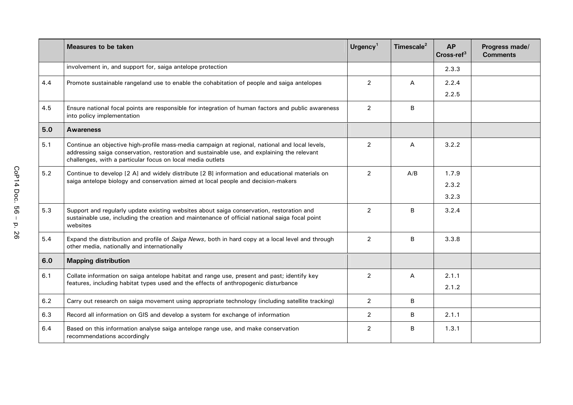|     | <b>Measures to be taken</b>                                                                                                                                                                                                                                 | Urgency <sup>1</sup> | Timescale <sup>2</sup> | <b>AP</b><br>$Cross-ref3$ | Progress made/<br><b>Comments</b> |
|-----|-------------------------------------------------------------------------------------------------------------------------------------------------------------------------------------------------------------------------------------------------------------|----------------------|------------------------|---------------------------|-----------------------------------|
|     | involvement in, and support for, saiga antelope protection                                                                                                                                                                                                  |                      |                        | 2.3.3                     |                                   |
| 4.4 | Promote sustainable rangeland use to enable the cohabitation of people and saiga antelopes                                                                                                                                                                  | $\overline{2}$       | A                      | 2.2.4                     |                                   |
|     |                                                                                                                                                                                                                                                             |                      |                        | 2.2.5                     |                                   |
| 4.5 | Ensure national focal points are responsible for integration of human factors and public awareness<br>into policy implementation                                                                                                                            | $\overline{2}$       | B                      |                           |                                   |
| 5.0 | <b>Awareness</b>                                                                                                                                                                                                                                            |                      |                        |                           |                                   |
| 5.1 | Continue an objective high-profile mass-media campaign at regional, national and local levels,<br>addressing saiga conservation, restoration and sustainable use, and explaining the relevant<br>challenges, with a particular focus on local media outlets | 2                    | A                      | 3.2.2                     |                                   |
| 5.2 | Continue to develop [2 A] and widely distribute [2 B] information and educational materials on<br>saiga antelope biology and conservation aimed at local people and decision-makers                                                                         | 2                    | A/B                    | 1.7.9                     |                                   |
|     |                                                                                                                                                                                                                                                             |                      |                        | 2.3.2                     |                                   |
|     |                                                                                                                                                                                                                                                             |                      |                        | 3.2.3                     |                                   |
| 5.3 | Support and regularly update existing websites about saiga conservation, restoration and<br>sustainable use, including the creation and maintenance of official national saiga focal point<br>websites                                                      | $\overline{2}$       | <sub>R</sub>           | 3.2.4                     |                                   |
| 5.4 | Expand the distribution and profile of Saiga News, both in hard copy at a local level and through<br>other media, nationally and internationally                                                                                                            | $\overline{2}$       | B                      | 3.3.8                     |                                   |
| 6.0 | <b>Mapping distribution</b>                                                                                                                                                                                                                                 |                      |                        |                           |                                   |
| 6.1 | Collate information on saiga antelope habitat and range use, present and past; identify key                                                                                                                                                                 | 2                    | A                      | 2.1.1                     |                                   |
|     | features, including habitat types used and the effects of anthropogenic disturbance                                                                                                                                                                         |                      |                        | 2.1.2                     |                                   |
| 6.2 | Carry out research on saiga movement using appropriate technology (including satellite tracking)                                                                                                                                                            | $\overline{2}$       | B                      |                           |                                   |
| 6.3 | Record all information on GIS and develop a system for exchange of information                                                                                                                                                                              | $\overline{2}$       | B                      | 2.1.1                     |                                   |
| 6.4 | Based on this information analyse saiga antelope range use, and make conservation<br>recommendations accordingly                                                                                                                                            | $\overline{2}$       | B                      | 1.3.1                     |                                   |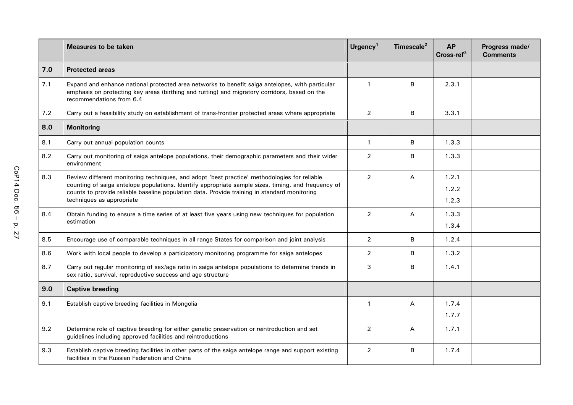|     | <b>Measures to be taken</b>                                                                                                                                                                                                  | Urgency <sup>1</sup> | Timescale <sup>2</sup> | <b>AP</b><br>$Cross-ref3$ | Progress made/<br><b>Comments</b> |
|-----|------------------------------------------------------------------------------------------------------------------------------------------------------------------------------------------------------------------------------|----------------------|------------------------|---------------------------|-----------------------------------|
| 7.0 | <b>Protected areas</b>                                                                                                                                                                                                       |                      |                        |                           |                                   |
| 7.1 | Expand and enhance national protected area networks to benefit saiga antelopes, with particular<br>emphasis on protecting key areas (birthing and rutting) and migratory corridors, based on the<br>recommendations from 6.4 | $\mathbf{1}$         | B                      | 2.3.1                     |                                   |
| 7.2 | Carry out a feasibility study on establishment of trans-frontier protected areas where appropriate                                                                                                                           | $\overline{2}$       | B                      | 3.3.1                     |                                   |
| 8.0 | <b>Monitoring</b>                                                                                                                                                                                                            |                      |                        |                           |                                   |
| 8.1 | Carry out annual population counts                                                                                                                                                                                           | $\mathbf{1}$         | B                      | 1.3.3                     |                                   |
| 8.2 | Carry out monitoring of saiga antelope populations, their demographic parameters and their wider<br>environment                                                                                                              | $\overline{2}$       | B                      | 1.3.3                     |                                   |
| 8.3 | Review different monitoring techniques, and adopt 'best practice' methodologies for reliable                                                                                                                                 | $\overline{2}$       | А                      | 1.2.1                     |                                   |
|     | counting of saiga antelope populations. Identify appropriate sample sizes, timing, and frequency of<br>counts to provide reliable baseline population data. Provide training in standard monitoring                          |                      |                        | 1.2.2                     |                                   |
|     | techniques as appropriate                                                                                                                                                                                                    |                      |                        | 1.2.3                     |                                   |
| 8.4 | Obtain funding to ensure a time series of at least five years using new techniques for population<br>estimation                                                                                                              | $\overline{2}$       | A                      | 1.3.3                     |                                   |
|     |                                                                                                                                                                                                                              |                      |                        | 1.3.4                     |                                   |
| 8.5 | Encourage use of comparable techniques in all range States for comparison and joint analysis                                                                                                                                 | $\overline{2}$       | B                      | 1.2.4                     |                                   |
| 8.6 | Work with local people to develop a participatory monitoring programme for saiga antelopes                                                                                                                                   | $\overline{2}$       | B                      | 1.3.2                     |                                   |
| 8.7 | Carry out regular monitoring of sex/age ratio in saiga antelope populations to determine trends in<br>sex ratio, survival, reproductive success and age structure                                                            | 3                    | В                      | 1.4.1                     |                                   |
| 9.0 | <b>Captive breeding</b>                                                                                                                                                                                                      |                      |                        |                           |                                   |
| 9.1 | Establish captive breeding facilities in Mongolia                                                                                                                                                                            | $\mathbf{1}$         | А                      | 1.7.4                     |                                   |
|     |                                                                                                                                                                                                                              |                      |                        | 1.7.7                     |                                   |
| 9.2 | Determine role of captive breeding for either genetic preservation or reintroduction and set<br>guidelines including approved facilities and reintroductions                                                                 | $\overline{2}$       | A                      | 1.7.1                     |                                   |
| 9.3 | Establish captive breeding facilities in other parts of the saiga antelope range and support existing<br>facilities in the Russian Federation and China                                                                      | $\overline{2}$       | B                      | 1.7.4                     |                                   |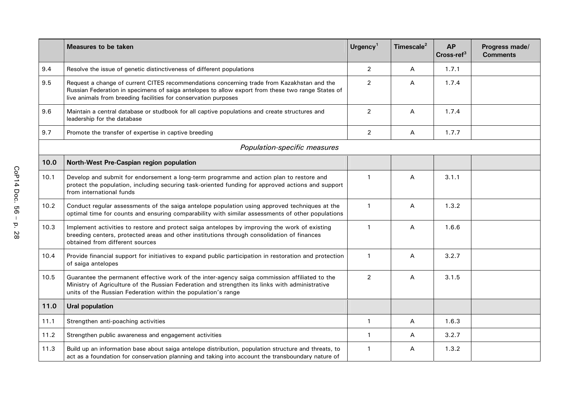|      | <b>Measures to be taken</b>                                                                                                                                                                                                                                        | Urgency <sup>1</sup> | Timescale <sup>2</sup> | <b>AP</b><br>Cross-ref <sup>3</sup> | Progress made/<br><b>Comments</b> |
|------|--------------------------------------------------------------------------------------------------------------------------------------------------------------------------------------------------------------------------------------------------------------------|----------------------|------------------------|-------------------------------------|-----------------------------------|
| 9.4  | Resolve the issue of genetic distinctiveness of different populations                                                                                                                                                                                              | $\overline{2}$       | Α                      | 1.7.1                               |                                   |
| 9.5  | Request a change of current CITES recommendations concerning trade from Kazakhstan and the<br>Russian Federation in specimens of saiga antelopes to allow export from these two range States of<br>live animals from breeding facilities for conservation purposes | $\overline{c}$       | Α                      | 1.7.4                               |                                   |
| 9.6  | Maintain a central database or studbook for all captive populations and create structures and<br>leadership for the database                                                                                                                                       | $\overline{2}$       | A                      | 1.7.4                               |                                   |
| 9.7  | Promote the transfer of expertise in captive breeding                                                                                                                                                                                                              | $\overline{2}$       | Α                      | 1.7.7                               |                                   |
|      | Population-specific measures                                                                                                                                                                                                                                       |                      |                        |                                     |                                   |
| 10.0 | North-West Pre-Caspian region population                                                                                                                                                                                                                           |                      |                        |                                     |                                   |
| 10.1 | Develop and submit for endorsement a long-term programme and action plan to restore and<br>protect the population, including securing task-oriented funding for approved actions and support<br>from international funds                                           | $\mathbf{1}$         | Α                      | 3.1.1                               |                                   |
| 10.2 | Conduct regular assessments of the saiga antelope population using approved techniques at the<br>optimal time for counts and ensuring comparability with similar assessments of other populations                                                                  | $\mathbf{1}$         | Α                      | 1.3.2                               |                                   |
| 10.3 | Implement activities to restore and protect saiga antelopes by improving the work of existing<br>breeding centers, protected areas and other institutions through consolidation of finances<br>obtained from different sources                                     | $\mathbf{1}$         | А                      | 1.6.6                               |                                   |
| 10.4 | Provide financial support for initiatives to expand public participation in restoration and protection<br>of saiga antelopes                                                                                                                                       | $\overline{1}$       | Α                      | 3.2.7                               |                                   |
| 10.5 | Guarantee the permanent effective work of the inter-agency saiga commission affiliated to the<br>Ministry of Agriculture of the Russian Federation and strengthen its links with administrative<br>units of the Russian Federation within the population's range   | $\overline{2}$       | Α                      | 3.1.5                               |                                   |
| 11.0 | <b>Ural population</b>                                                                                                                                                                                                                                             |                      |                        |                                     |                                   |
| 11.1 | Strengthen anti-poaching activities                                                                                                                                                                                                                                | $\overline{1}$       | А                      | 1.6.3                               |                                   |
| 11.2 | Strengthen public awareness and engagement activities                                                                                                                                                                                                              | $\mathbf{1}$         | А                      | 3.2.7                               |                                   |
| 11.3 | Build up an information base about saiga antelope distribution, population structure and threats, to<br>act as a foundation for conservation planning and taking into account the transboundary nature of                                                          | $\mathbf 1$          | A                      | 1.3.2                               |                                   |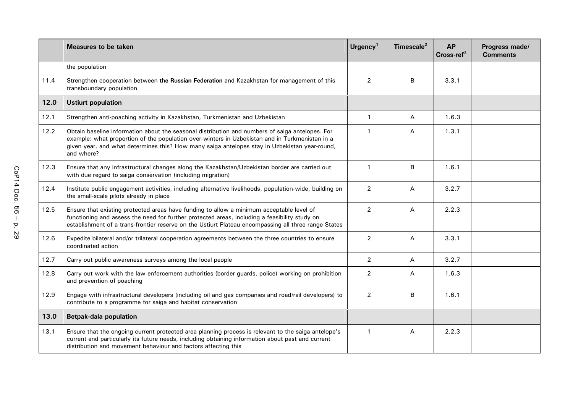|      | <b>Measures to be taken</b>                                                                                                                                                                                                                                                                                      | Urgency <sup>1</sup> | Timescale <sup>2</sup> | <b>AP</b><br>$Cross-ref3$ | Progress made/<br><b>Comments</b> |
|------|------------------------------------------------------------------------------------------------------------------------------------------------------------------------------------------------------------------------------------------------------------------------------------------------------------------|----------------------|------------------------|---------------------------|-----------------------------------|
|      | the population                                                                                                                                                                                                                                                                                                   |                      |                        |                           |                                   |
| 11.4 | Strengthen cooperation between the Russian Federation and Kazakhstan for management of this<br>transboundary population                                                                                                                                                                                          | $\overline{2}$       | B                      | 3.3.1                     |                                   |
| 12.0 | <b>Ustiurt population</b>                                                                                                                                                                                                                                                                                        |                      |                        |                           |                                   |
| 12.1 | Strengthen anti-poaching activity in Kazakhstan, Turkmenistan and Uzbekistan                                                                                                                                                                                                                                     | $\mathbf{1}$         | Α                      | 1.6.3                     |                                   |
| 12.2 | Obtain baseline information about the seasonal distribution and numbers of saiga antelopes. For<br>example: what proportion of the population over-winters in Uzbekistan and in Turkmenistan in a<br>given year, and what determines this? How many saiga antelopes stay in Uzbekistan year-round,<br>and where? | $\mathbf{1}$         | A                      | 1.3.1                     |                                   |
| 12.3 | Ensure that any infrastructural changes along the Kazakhstan/Uzbekistan border are carried out<br>with due regard to saiga conservation (including migration)                                                                                                                                                    | $\mathbf{1}$         | В                      | 1.6.1                     |                                   |
| 12.4 | Institute public engagement activities, including alternative livelihoods, population-wide, building on<br>the small-scale pilots already in place                                                                                                                                                               | $\overline{2}$       | Α                      | 3.2.7                     |                                   |
| 12.5 | Ensure that existing protected areas have funding to allow a minimum acceptable level of<br>functioning and assess the need for further protected areas, including a feasibility study on<br>establishment of a trans-frontier reserve on the Ustiurt Plateau encompassing all three range States                | $\overline{2}$       | А                      | 2.2.3                     |                                   |
| 12.6 | Expedite bilateral and/or trilateral cooperation agreements between the three countries to ensure<br>coordinated action                                                                                                                                                                                          | $\overline{2}$       | Α                      | 3.3.1                     |                                   |
| 12.7 | Carry out public awareness surveys among the local people                                                                                                                                                                                                                                                        | $\overline{2}$       | $\mathsf{A}$           | 3.2.7                     |                                   |
| 12.8 | Carry out work with the law enforcement authorities (border guards, police) working on prohibition<br>and prevention of poaching                                                                                                                                                                                 | $\overline{2}$       | A                      | 1.6.3                     |                                   |
| 12.9 | Engage with infrastructural developers (including oil and gas companies and road/rail developers) to<br>contribute to a programme for saiga and habitat conservation                                                                                                                                             | $\overline{2}$       | B                      | 1.6.1                     |                                   |
| 13.0 | <b>Betpak-dala population</b>                                                                                                                                                                                                                                                                                    |                      |                        |                           |                                   |
| 13.1 | Ensure that the ongoing current protected area planning process is relevant to the saiga antelope's<br>current and particularly its future needs, including obtaining information about past and current<br>distribution and movement behaviour and factors affecting this                                       | $\mathbf{1}$         | Α                      | 2.2.3                     |                                   |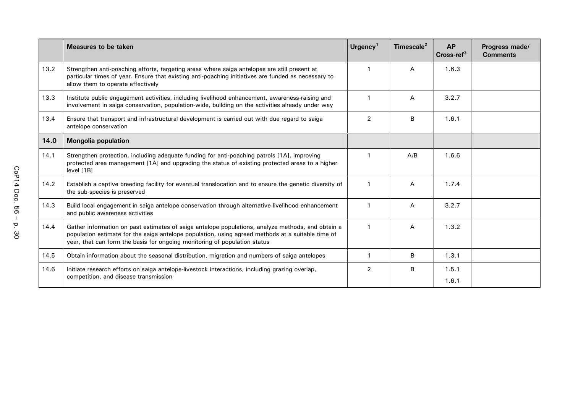|      | Measures to be taken                                                                                                                                                                                                                                                                | Urgency <sup>1</sup> | Timescale <sup>2</sup> | <b>AP</b><br>Cross-ref <sup>3</sup> | Progress made/<br><b>Comments</b> |
|------|-------------------------------------------------------------------------------------------------------------------------------------------------------------------------------------------------------------------------------------------------------------------------------------|----------------------|------------------------|-------------------------------------|-----------------------------------|
| 13.2 | Strengthen anti-poaching efforts, targeting areas where saiga antelopes are still present at<br>particular times of year. Ensure that existing anti-poaching initiatives are funded as necessary to<br>allow them to operate effectively                                            |                      | A                      | 1.6.3                               |                                   |
| 13.3 | Institute public engagement activities, including livelihood enhancement, awareness-raising and<br>involvement in saiga conservation, population-wide, building on the activities already under way                                                                                 |                      | A                      | 3.2.7                               |                                   |
| 13.4 | Ensure that transport and infrastructural development is carried out with due regard to saiga<br>antelope conservation                                                                                                                                                              |                      | B                      | 1.6.1                               |                                   |
| 14.0 | <b>Mongolia population</b>                                                                                                                                                                                                                                                          |                      |                        |                                     |                                   |
| 14.1 | Strengthen protection, including adequate funding for anti-poaching patrols [1A], improving<br>protected area management [1A] and upgrading the status of existing protected areas to a higher<br>level [1B]                                                                        |                      | A/B                    | 1.6.6                               |                                   |
| 14.2 | Establish a captive breeding facility for eventual translocation and to ensure the genetic diversity of<br>the sub-species is preserved                                                                                                                                             | $\mathbf 1$          | A                      | 1.7.4                               |                                   |
| 14.3 | Build local engagement in saiga antelope conservation through alternative livelihood enhancement<br>and public awareness activities                                                                                                                                                 |                      | A                      | 3.2.7                               |                                   |
| 14.4 | Gather information on past estimates of saiga antelope populations, analyze methods, and obtain a<br>population estimate for the saiga antelope population, using agreed methods at a suitable time of<br>year, that can form the basis for ongoing monitoring of population status |                      | A                      | 1.3.2                               |                                   |
| 14.5 | Obtain information about the seasonal distribution, migration and numbers of saiga antelopes                                                                                                                                                                                        |                      | B                      | 1.3.1                               |                                   |
| 14.6 | Initiate research efforts on saiga antelope-livestock interactions, including grazing overlap,<br>competition, and disease transmission                                                                                                                                             | $\overline{2}$       | B                      | 1.5.1<br>1.6.1                      |                                   |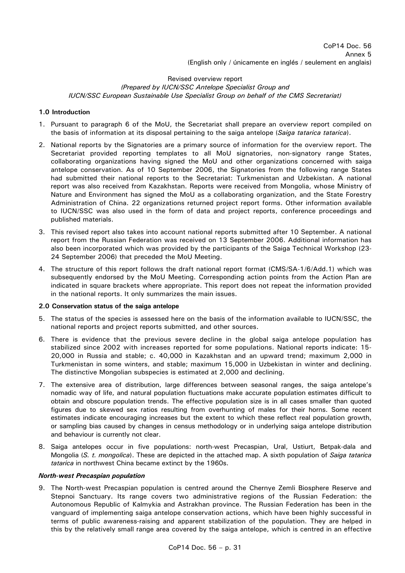# Revised overview report *(Prepared by IUCN/SSC Antelope Specialist Group and IUCN/SSC European Sustainable Use Specialist Group on behalf of the CMS Secretariat)*

# **1.0 Introduction**

- 1. Pursuant to paragraph 6 of the MoU, the Secretariat shall prepare an overview report compiled on the basis of information at its disposal pertaining to the saiga antelope (*Saiga tatarica tatarica*).
- 2. National reports by the Signatories are a primary source of information for the overview report. The Secretariat provided reporting templates to all MoU signatories, non-signatory range States, collaborating organizations having signed the MoU and other organizations concerned with saiga antelope conservation. As of 10 September 2006, the Signatories from the following range States had submitted their national reports to the Secretariat: Turkmenistan and Uzbekistan. A national report was also received from Kazakhstan. Reports were received from Mongolia, whose Ministry of Nature and Environment has signed the MoU as a collaborating organization, and the State Forestry Administration of China. 22 organizations returned project report forms. Other information available to IUCN/SSC was also used in the form of data and project reports, conference proceedings and published materials.
- 3. This revised report also takes into account national reports submitted after 10 September. A national report from the Russian Federation was received on 13 September 2006. Additional information has also been incorporated which was provided by the participants of the Saiga Technical Workshop (23- 24 September 2006) that preceded the MoU Meeting.
- 4. The structure of this report follows the draft national report format (CMS/SA-1/6/Add.1) which was subsequently endorsed by the MoU Meeting. Corresponding action points from the Action Plan are indicated in square brackets where appropriate. This report does not repeat the information provided in the national reports. It only summarizes the main issues.

## **2.0 Conservation status of the saiga antelope**

- 5. The status of the species is assessed here on the basis of the information available to IUCN/SSC, the national reports and project reports submitted, and other sources.
- 6. There is evidence that the previous severe decline in the global saiga antelope population has stabilized since 2002 with increases reported for some populations. National reports indicate: 15- 20,000 in Russia and stable; c. 40,000 in Kazakhstan and an upward trend; maximum 2,000 in Turkmenistan in some winters, and stable; maximum 15,000 in Uzbekistan in winter and declining. The distinctive Mongolian subspecies is estimated at 2,000 and declining.
- 7. The extensive area of distribution, large differences between seasonal ranges, the saiga antelope's nomadic way of life, and natural population fluctuations make accurate population estimates difficult to obtain and obscure population trends. The effective population size is in all cases smaller than quoted figures due to skewed sex ratios resulting from overhunting of males for their horns. Some recent estimates indicate encouraging increases but the extent to which these reflect real population growth, or sampling bias caused by changes in census methodology or in underlying saiga antelope distribution and behaviour is currently not clear.
- 8. Saiga antelopes occur in five populations: north-west Precaspian, Ural, Ustiurt, Betpak-dala and Mongolia (*S. t. mongolica*). These are depicted in the attached map. A sixth population of *Saiga tatarica tatarica* in northwest China became extinct by the 1960s.

## *North-west Precaspian population*

9. The North-west Precaspian population is centred around the Chernye Zemli Biosphere Reserve and Stepnoi Sanctuary. Its range covers two administrative regions of the Russian Federation: the Autonomous Republic of Kalmykia and Astrakhan province. The Russian Federation has been in the vanguard of implementing saiga antelope conservation actions, which have been highly successful in terms of public awareness-raising and apparent stabilization of the population. They are helped in this by the relatively small range area covered by the saiga antelope, which is centred in an effective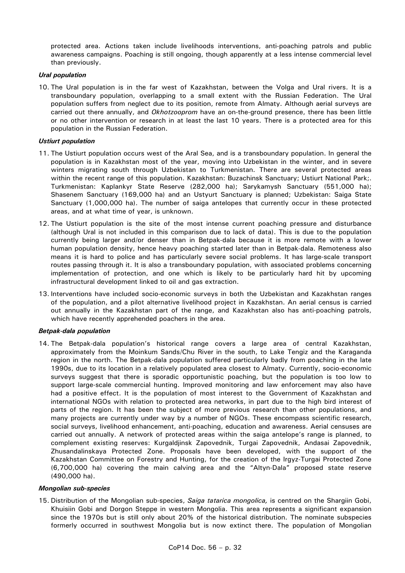protected area. Actions taken include livelihoods interventions, anti-poaching patrols and public awareness campaigns. Poaching is still ongoing, though apparently at a less intense commercial level than previously.

## *Ural population*

10. The Ural population is in the far west of Kazakhstan, between the Volga and Ural rivers. It is a transboundary population, overlapping to a small extent with the Russian Federation. The Ural population suffers from neglect due to its position, remote from Almaty. Although aerial surveys are carried out there annually, and *Okhotzooprom* have an on-the-ground presence, there has been little or no other intervention or research in at least the last 10 years. There is a protected area for this population in the Russian Federation.

# *Ustiurt population*

- 11. The Ustiurt population occurs west of the Aral Sea, and is a transboundary population. In general the population is in Kazakhstan most of the year, moving into Uzbekistan in the winter, and in severe winters migrating south through Uzbekistan to Turkmenistan. There are several protected areas within the recent range of this population. Kazakhstan: Buzachinsk Sanctuary; Ustiurt National Park;. Turkmenistan: Kaplankyr State Reserve (282,000 ha); Sarykamysh Sanctuary (551,000 ha); Shasenem Sanctuary (169,000 ha) and an Ustyurt Sanctuary is planned; Uzbekistan: Saiga State Sanctuary (1,000,000 ha). The number of saiga antelopes that currently occur in these protected areas, and at what time of year, is unknown.
- 12. The Ustiurt population is the site of the most intense current poaching pressure and disturbance (although Ural is not included in this comparison due to lack of data). This is due to the population currently being larger and/or denser than in Betpak-dala because it is more remote with a lower human population density, hence heavy poaching started later than in Betpak-dala. Remoteness also means it is hard to police and has particularly severe social problems. It has large-scale transport routes passing through it. It is also a transboundary population, with associated problems concerning implementation of protection, and one which is likely to be particularly hard hit by upcoming infrastructural development linked to oil and gas extraction.
- 13. Interventions have included socio-economic surveys in both the Uzbekistan and Kazakhstan ranges of the population, and a pilot alternative livelihood project in Kazakhstan. An aerial census is carried out annually in the Kazakhstan part of the range, and Kazakhstan also has anti-poaching patrols, which have recently apprehended poachers in the area.

## *Betpak-dala population*

14. The Betpak-dala population's historical range covers a large area of central Kazakhstan, approximately from the Moinkum Sands/Chu River in the south, to Lake Tengiz and the Karaganda region in the north. The Betpak-dala population suffered particularly badly from poaching in the late 1990s, due to its location in a relatively populated area closest to Almaty. Currently, socio-economic surveys suggest that there is sporadic opportunistic poaching, but the population is too low to support large-scale commercial hunting. Improved monitoring and law enforcement may also have had a positive effect. It is the population of most interest to the Government of Kazakhstan and international NGOs with relation to protected area networks, in part due to the high bird interest of parts of the region. It has been the subject of more previous research than other populations, and many projects are currently under way by a number of NGOs. These encompass scientific research, social surveys, livelihood enhancement, anti-poaching, education and awareness. Aerial censuses are carried out annually. A network of protected areas within the saiga antelope's range is planned, to complement existing reserves: Kurgaldjinsk Zapovednik, Turgai Zapovednik, Andasai Zapovednik, Zhusandalinskaya Protected Zone. Proposals have been developed, with the support of the Kazakhstan Committee on Forestry and Hunting, for the creation of the Irgyz-Turgai Protected Zone (6,700,000 ha) covering the main calving area and the "Altyn-Dala" proposed state reserve (490,000 ha).

## *Mongolian sub-species*

15. Distribution of the Mongolian sub-species, *Saiga tatarica mongolica,* is centred on the Shargiin Gobi, Khuisiin Gobi and Dorgon Steppe in western Mongolia. This area represents a significant expansion since the 1970s but is still only about 20% of the historical distribution. The nominate subspecies formerly occurred in southwest Mongolia but is now extinct there. The population of Mongolian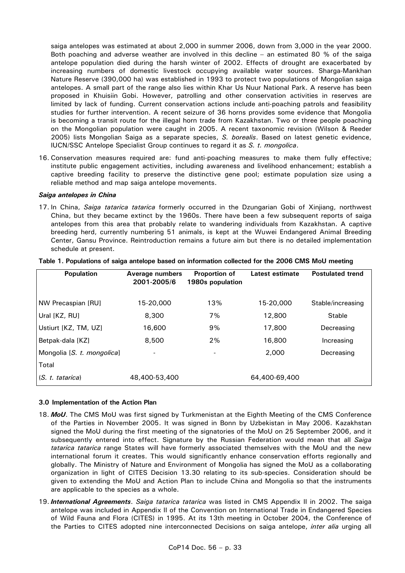saiga antelopes was estimated at about 2,000 in summer 2006, down from 3,000 in the year 2000. Both poaching and adverse weather are involved in this decline – an estimated 80 % of the saiga antelope population died during the harsh winter of 2002. Effects of drought are exacerbated by increasing numbers of domestic livestock occupying available water sources. Sharga-Mankhan Nature Reserve (390,000 ha) was established in 1993 to protect two populations of Mongolian saiga antelopes. A small part of the range also lies within Khar Us Nuur National Park. A reserve has been proposed in Khuisiin Gobi. However, patrolling and other conservation activities in reserves are limited by lack of funding. Current conservation actions include anti-poaching patrols and feasibility studies for further intervention. A recent seizure of 36 horns provides some evidence that Mongolia is becoming a transit route for the illegal horn trade from Kazakhstan. Two or three people poaching on the Mongolian population were caught in 2005. A recent taxonomic revision (Wilson & Reeder 2005) lists Mongolian Saiga as a separate species, *S. borealis*. Based on latest genetic evidence, IUCN/SSC Antelope Specialist Group continues to regard it as *S. t. mongolica*.

16. Conservation measures required are: fund anti-poaching measures to make them fully effective; institute public engagement activities, including awareness and livelihood enhancement; establish a captive breeding facility to preserve the distinctive gene pool; estimate population size using a reliable method and map saiga antelope movements.

#### *Saiga antelopes in China*

17. In China, *Saiga tatarica tatarica* formerly occurred in the Dzungarian Gobi of Xinjiang, northwest China, but they became extinct by the 1960s. There have been a few subsequent reports of saiga antelopes from this area that probably relate to wandering individuals from Kazakhstan. A captive breeding herd, currently numbering 51 animals, is kept at the Wuwei Endangered Animal Breeding Center, Gansu Province. Reintroduction remains a future aim but there is no detailed implementation schedule at present.

| <b>Population</b>          | <b>Average numbers</b><br>2001-2005/6 | Proportion of<br>1980s population | Latest estimate | <b>Postulated trend</b> |
|----------------------------|---------------------------------------|-----------------------------------|-----------------|-------------------------|
| NW Precaspian [RU]         | 15-20,000                             | 13%                               | 15-20,000       | Stable/increasing       |
| Ural [KZ, RU]              | 8,300                                 | 7%                                | 12,800          | <b>Stable</b>           |
| Ustiurt [KZ, TM, UZ]       | 16,600                                | 9%                                | 17,800          | Decreasing              |
| Betpak-dala [KZ]           | 8,500                                 | 2%                                | 16,800          | Increasing              |
| Mongolia [S. t. mongolica] | $\blacksquare$                        |                                   | 2,000           | Decreasing              |
| Total                      |                                       |                                   |                 |                         |
| (S. t. tatarica)           | 48,400-53,400                         |                                   | 64,400-69,400   |                         |

|  |  | Table 1. Populations of saiga antelope based on information collected for the 2006 CMS MoU meeting |
|--|--|----------------------------------------------------------------------------------------------------|
|  |  |                                                                                                    |

#### **3.0 Implementation of the Action Plan**

- 18. *MoU*. The CMS MoU was first signed by Turkmenistan at the Eighth Meeting of the CMS Conference of the Parties in November 2005. It was signed in Bonn by Uzbekistan in May 2006. Kazakhstan signed the MoU during the first meeting of the signatories of the MoU on 25 September 2006, and it subsequently entered into effect. Signature by the Russian Federation would mean that all *Saiga tatarica tatarica* range States will have formerly associated themselves with the MoU and the new international forum it creates. This would significantly enhance conservation efforts regionally and globally. The Ministry of Nature and Environment of Mongolia has signed the MoU as a collaborating organization in light of CITES Decision 13.30 relating to its sub-species. Consideration should be given to extending the MoU and Action Plan to include China and Mongolia so that the instruments are applicable to the species as a whole.
- 19. *International Agreements*. *Saiga tatarica tatarica* was listed in CMS Appendix II in 2002. The saiga antelope was included in Appendix II of the Convention on International Trade in Endangered Species of Wild Fauna and Flora (CITES) in 1995. At its 13th meeting in October 2004, the Conference of the Parties to CITES adopted nine interconnected Decisions on saiga antelope, *inter alia* urging all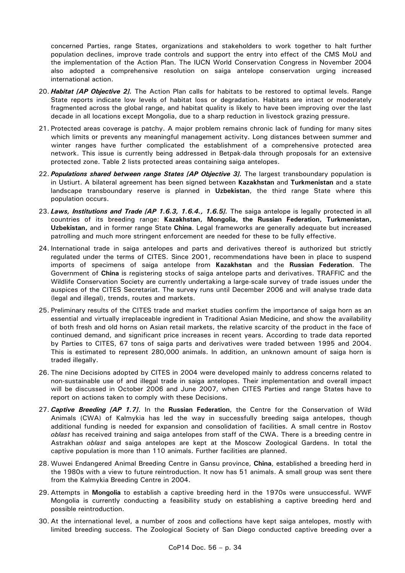concerned Parties, range States, organizations and stakeholders to work together to halt further population declines, improve trade controls and support the entry into effect of the CMS MoU and the implementation of the Action Plan. The IUCN World Conservation Congress in November 2004 also adopted a comprehensive resolution on saiga antelope conservation urging increased international action.

- 20. *Habitat [AP Objective 2].* The Action Plan calls for habitats to be restored to optimal levels. Range State reports indicate low levels of habitat loss or degradation. Habitats are intact or moderately fragmented across the global range, and habitat quality is likely to have been improving over the last decade in all locations except Mongolia, due to a sharp reduction in livestock grazing pressure.
- 21. Protected areas coverage is patchy. A major problem remains chronic lack of funding for many sites which limits or prevents any meaningful management activity. Long distances between summer and winter ranges have further complicated the establishment of a comprehensive protected area network. This issue is currently being addressed in Betpak-dala through proposals for an extensive protected zone. Table 2 lists protected areas containing saiga antelopes.
- 22. *Populations shared between range States [AP Objective 3].* The largest transboundary population is in Ustiurt. A bilateral agreement has been signed between **Kazakhstan** and **Turkmenistan** and a state landscape transboundary reserve is planned in **Uzbekistan**, the third range State where this population occurs.
- 23. *Laws, Institutions and Trade [AP 1.6.3, 1.6.4., 1.6.5].* The saiga antelope is legally protected in all countries of its breeding range: **Kazakhstan, Mongolia, the Russian Federation, Turkmenistan, Uzbekistan,** and in former range State **China**. Legal frameworks are generally adequate but increased patrolling and much more stringent enforcement are needed for these to be fully effective.
- 24. International trade in saiga antelopes and parts and derivatives thereof is authorized but strictly regulated under the terms of CITES. Since 2001, recommendations have been in place to suspend imports of specimens of saiga antelope from **Kazakhstan** and the **Russian Federation**. The Government of **China** is registering stocks of saiga antelope parts and derivatives. TRAFFIC and the Wildlife Conservation Society are currently undertaking a large-scale survey of trade issues under the auspices of the CITES Secretariat. The survey runs until December 2006 and will analyse trade data (legal and illegal), trends, routes and markets.
- 25. Preliminary results of the CITES trade and market studies confirm the importance of saiga horn as an essential and virtually irreplaceable ingredient in Traditional Asian Medicine, and show the availability of both fresh and old horns on Asian retail markets, the relative scarcity of the product in the face of continued demand, and significant price increases in recent years. According to trade data reported by Parties to CITES, 67 tons of saiga parts and derivatives were traded between 1995 and 2004. This is estimated to represent 280,000 animals. In addition, an unknown amount of saiga horn is traded illegally.
- 26. The nine Decisions adopted by CITES in 2004 were developed mainly to address concerns related to non-sustainable use of and illegal trade in saiga antelopes. Their implementation and overall impact will be discussed in October 2006 and June 2007, when CITES Parties and range States have to report on actions taken to comply with these Decisions.
- 27. *Captive Breeding [AP 1.7]*. In the **Russian Federation**, the Centre for the Conservation of Wild Animals (CWA) of Kalmykia has led the way in successfully breeding saiga antelopes, though additional funding is needed for expansion and consolidation of facilities. A small centre in Rostov *oblast* has received training and saiga antelopes from staff of the CWA. There is a breeding centre in Astrakhan *oblast* and saiga antelopes are kept at the Moscow Zoological Gardens. In total the captive population is more than 110 animals. Further facilities are planned.
- 28. Wuwei Endangered Animal Breeding Centre in Gansu province, **China**, established a breeding herd in the 1980s with a view to future reintroduction. It now has 51 animals. A small group was sent there from the Kalmykia Breeding Centre in 2004.
- 29. Attempts in **Mongolia** to establish a captive breeding herd in the 1970s were unsuccessful. WWF Mongolia is currently conducting a feasibility study on establishing a captive breeding herd and possible reintroduction.
- 30. At the international level, a number of zoos and collections have kept saiga antelopes, mostly with limited breeding success. The Zoological Society of San Diego conducted captive breeding over a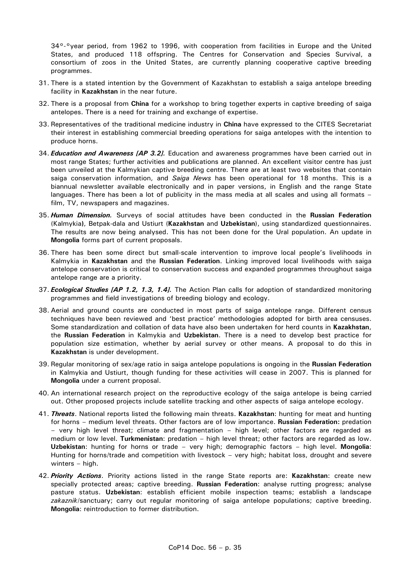34<sup>o-o</sup>year period, from 1962 to 1996, with cooperation from facilities in Europe and the United States, and produced 118 offspring. The Centres for Conservation and Species Survival, a consortium of zoos in the United States, are currently planning cooperative captive breeding programmes.

- 31. There is a stated intention by the Government of Kazakhstan to establish a saiga antelope breeding facility in **Kazakhstan** in the near future.
- 32. There is a proposal from **China** for a workshop to bring together experts in captive breeding of saiga antelopes. There is a need for training and exchange of expertise.
- 33. Representatives of the traditional medicine industry in **China** have expressed to the CITES Secretariat their interest in establishing commercial breeding operations for saiga antelopes with the intention to produce horns.
- 34. *Education and Awareness [AP 3.2].* Education and awareness programmes have been carried out in most range States; further activities and publications are planned. An excellent visitor centre has just been unveiled at the Kalmykian captive breeding centre. There are at least two websites that contain saiga conservation information, and *Saiga News* has been operational for 18 months. This is a biannual newsletter available electronically and in paper versions, in English and the range State languages. There has been a lot of publicity in the mass media at all scales and using all formats – film, TV, newspapers and magazines.
- 35. *Human Dimension.* Surveys of social attitudes have been conducted in the **Russian Federation** (Kalmykia**)**, Betpak-dala and Ustiurt (**Kazakhstan** and **Uzbekistan**), using standardized questionnaires. The results are now being analysed. This has not been done for the Ural population. An update in **Mongolia** forms part of current proposals.
- 36. There has been some direct but small-scale intervention to improve local people's livelihoods in Kalmykia in **Kazakhstan** and the **Russian Federation**. Linking improved local livelihoods with saiga antelope conservation is critical to conservation success and expanded programmes throughout saiga antelope range are a priority.
- 37. *Ecological Studies [AP 1.2, 1.3, 1.4].* The Action Plan calls for adoption of standardized monitoring programmes and field investigations of breeding biology and ecology.
- 38. Aerial and ground counts are conducted in most parts of saiga antelope range. Different census techniques have been reviewed and 'best practice' methodologies adopted for birth area censuses. Some standardization and collation of data have also been undertaken for herd counts in **Kazakhstan**, the **Russian Federation** in Kalmykia and **Uzbekistan**. There is a need to develop best practice for population size estimation, whether by aerial survey or other means. A proposal to do this in **Kazakhstan** is under development.
- 39. Regular monitoring of sex/age ratio in saiga antelope populations is ongoing in the **Russian Federation** in Kalmykia and Ustiurt, though funding for these activities will cease in 2007. This is planned for **Mongolia** under a current proposal.
- 40. An international research project on the reproductive ecology of the saiga antelope is being carried out. Other proposed projects include satellite tracking and other aspects of saiga antelope ecology.
- 41. *Threats*. National reports listed the following main threats. **Kazakhstan**: hunting for meat and hunting for horns – medium level threats. Other factors are of low importance. **Russian Federation:** predation – very high level threat; climate and fragmentation – high level; other factors are regarded as medium or low level. **Turkmenistan**: predation – high level threat; other factors are regarded as low. **Uzbekistan**: hunting for horns or trade – very high; demographic factors – high level. **Mongolia**: Hunting for horns/trade and competition with livestock – very high; habitat loss, drought and severe winters – high.
- 42. *Priority Actions*. Priority actions listed in the range State reports are: **Kazakhstan**: create new specially protected areas; captive breeding. **Russian Federation**: analyse rutting progress; analyse pasture status. **Uzbekistan**: establish efficient mobile inspection teams; establish a landscape *zakaznik*/sanctuary; carry out regular monitoring of saiga antelope populations; captive breeding. **Mongolia**: reintroduction to former distribution.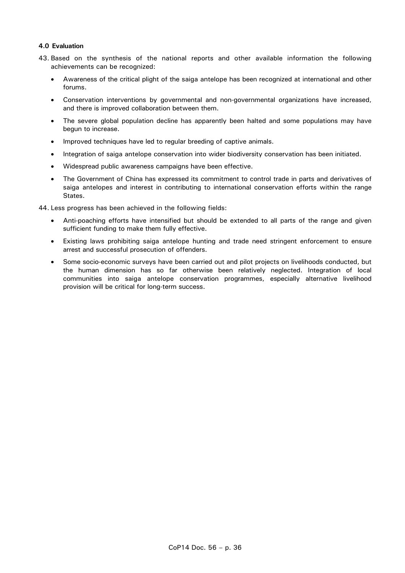# **4.0 Evaluation**

- 43. Based on the synthesis of the national reports and other available information the following achievements can be recognized:
	- Awareness of the critical plight of the saiga antelope has been recognized at international and other forums.
	- Conservation interventions by governmental and non-governmental organizations have increased, and there is improved collaboration between them.
	- The severe global population decline has apparently been halted and some populations may have begun to increase.
	- Improved techniques have led to regular breeding of captive animals.
	- Integration of saiga antelope conservation into wider biodiversity conservation has been initiated.
	- Widespread public awareness campaigns have been effective.
	- The Government of China has expressed its commitment to control trade in parts and derivatives of saiga antelopes and interest in contributing to international conservation efforts within the range States.

44. Less progress has been achieved in the following fields:

- Anti-poaching efforts have intensified but should be extended to all parts of the range and given sufficient funding to make them fully effective.
- Existing laws prohibiting saiga antelope hunting and trade need stringent enforcement to ensure arrest and successful prosecution of offenders.
- Some socio-economic surveys have been carried out and pilot projects on livelihoods conducted, but the human dimension has so far otherwise been relatively neglected. Integration of local communities into saiga antelope conservation programmes, especially alternative livelihood provision will be critical for long-term success.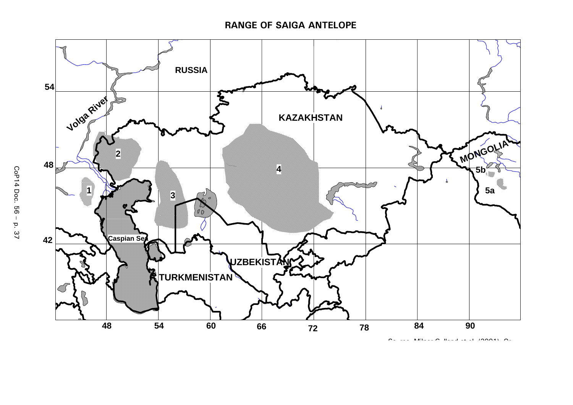# **RANGE OF SAIGA ANTELOPE**



So rce Milner G lland et al (2001) Or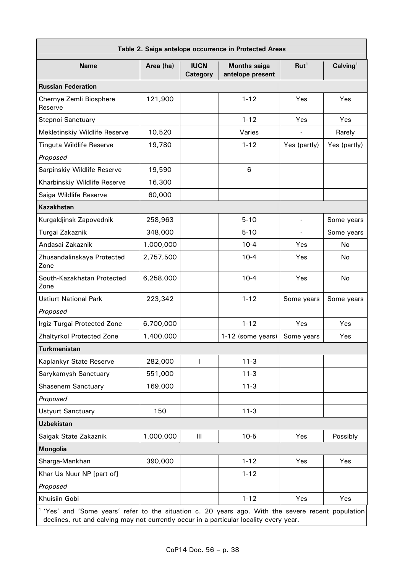| Table 2. Saiga antelope occurrence in Protected Areas |           |                         |                                         |                  |                      |  |  |  |
|-------------------------------------------------------|-----------|-------------------------|-----------------------------------------|------------------|----------------------|--|--|--|
| <b>Name</b>                                           | Area (ha) | <b>IUCN</b><br>Category | <b>Months saiga</b><br>antelope present | Rut <sup>1</sup> | Calving <sup>1</sup> |  |  |  |
| <b>Russian Federation</b>                             |           |                         |                                         |                  |                      |  |  |  |
| Chernye Zemli Biosphere<br>Reserve                    | 121,900   |                         | $1 - 12$                                | Yes              | Yes                  |  |  |  |
| Stepnoi Sanctuary                                     |           |                         | $1 - 12$                                | Yes              | Yes                  |  |  |  |
| Mekletinskiy Wildlife Reserve                         | 10,520    |                         | Varies                                  |                  | Rarely               |  |  |  |
| <b>Tinguta Wildlife Reserve</b>                       | 19,780    |                         | $1 - 12$                                | Yes (partly)     | Yes (partly)         |  |  |  |
| Proposed                                              |           |                         |                                         |                  |                      |  |  |  |
| Sarpinskiy Wildlife Reserve                           | 19,590    |                         | 6                                       |                  |                      |  |  |  |
| Kharbinskiy Wildlife Reserve                          | 16,300    |                         |                                         |                  |                      |  |  |  |
| Saiga Wildlife Reserve                                | 60,000    |                         |                                         |                  |                      |  |  |  |
| <b>Kazakhstan</b>                                     |           |                         |                                         |                  |                      |  |  |  |
| Kurgaldjinsk Zapovednik                               | 258,963   |                         | $5 - 10$                                |                  | Some years           |  |  |  |
| Turgai Zakaznik                                       | 348,000   |                         | $5 - 10$                                |                  | Some years           |  |  |  |
| Andasai Zakaznik                                      | 1,000,000 |                         | $10 - 4$                                | Yes              | No                   |  |  |  |
| Zhusandalinskaya Protected<br>Zone                    | 2,757,500 |                         | $10 - 4$                                | Yes              | No                   |  |  |  |
| South-Kazakhstan Protected<br>Zone                    | 6,258,000 |                         | $10 - 4$                                | Yes              | No                   |  |  |  |
| <b>Ustiurt National Park</b>                          | 223,342   |                         | $1 - 12$                                | Some years       | Some years           |  |  |  |
| Proposed                                              |           |                         |                                         |                  |                      |  |  |  |
| Irgiz-Turgai Protected Zone                           | 6,700,000 |                         | $1 - 12$                                | Yes              | Yes                  |  |  |  |
| Zhaltyrkol Protected Zone                             | 1,400,000 |                         | 1-12 (some years)                       | Some years       | Yes                  |  |  |  |
| <b>Turkmenistan</b>                                   |           |                         |                                         |                  |                      |  |  |  |
| Kaplankyr State Reserve                               | 282,000   | $\mathbf{I}$            | $11-3$                                  |                  |                      |  |  |  |
| Sarykamysh Sanctuary                                  | 551,000   |                         | $11 - 3$                                |                  |                      |  |  |  |
| Shasenem Sanctuary                                    | 169,000   |                         | $11-3$                                  |                  |                      |  |  |  |
| Proposed                                              |           |                         |                                         |                  |                      |  |  |  |
| <b>Ustyurt Sanctuary</b>                              | 150       |                         | $11-3$                                  |                  |                      |  |  |  |
| <b>Uzbekistan</b>                                     |           |                         |                                         |                  |                      |  |  |  |
| Saigak State Zakaznik                                 | 1,000,000 | Ш                       | $10-5$                                  | Yes              | Possibly             |  |  |  |
| <b>Mongolia</b>                                       |           |                         |                                         |                  |                      |  |  |  |
| Sharga-Mankhan                                        | 390,000   |                         | $1 - 12$                                | Yes              | Yes                  |  |  |  |
| Khar Us Nuur NP [part of]                             |           |                         | $1 - 12$                                |                  |                      |  |  |  |
| Proposed                                              |           |                         |                                         |                  |                      |  |  |  |
| Khuisiin Gobi                                         |           |                         | $1 - 12$                                | Yes              | Yes                  |  |  |  |

 $1$  'Yes' and 'Some years' refer to the situation c. 20 years ago. With the severe recent population declines, rut and calving may not currently occur in a particular locality every year.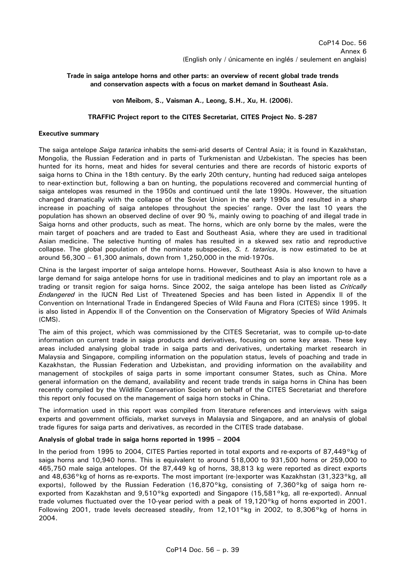# **Trade in saiga antelope horns and other parts: an overview of recent global trade trends and conservation aspects with a focus on market demand in Southeast Asia.**

## **von Meibom, S., Vaisman A., Leong, S.H., Xu, H. (2006).**

## **TRAFFIC Project report to the CITES Secretariat, CITES Project No. S-287**

## **Executive summary**

The saiga antelope *Saiga tatarica* inhabits the semi-arid deserts of Central Asia; it is found in Kazakhstan, Mongolia, the Russian Federation and in parts of Turkmenistan and Uzbekistan. The species has been hunted for its horns, meat and hides for several centuries and there are records of historic exports of saiga horns to China in the 18th century. By the early 20th century, hunting had reduced saiga antelopes to near-extinction but, following a ban on hunting, the populations recovered and commercial hunting of saiga antelopes was resumed in the 1950s and continued until the late 1990s. However, the situation changed dramatically with the collapse of the Soviet Union in the early 1990s and resulted in a sharp increase in poaching of saiga antelopes throughout the species' range. Over the last 10 years the population has shown an observed decline of over 90 %, mainly owing to poaching of and illegal trade in Saiga horns and other products, such as meat. The horns, which are only borne by the males, were the main target of poachers and are traded to East and Southeast Asia, where they are used in traditional Asian medicine. The selective hunting of males has resulted in a skewed sex ratio and reproductive collapse. The global population of the nominate subspecies, *S. t. tatarica*, is now estimated to be at around 56,300 – 61,300 animals, down from 1,250,000 in the mid-1970s.

China is the largest importer of saiga antelope horns. However, Southeast Asia is also known to have a large demand for saiga antelope horns for use in traditional medicines and to play an important role as a trading or transit region for saiga horns. Since 2002, the saiga antelope has been listed as *Critically Endangered* in the IUCN Red List of Threatened Species and has been listed in Appendix II of the Convention on International Trade in Endangered Species of Wild Fauna and Flora (CITES) since 1995. It is also listed in Appendix II of the Convention on the Conservation of Migratory Species of Wild Animals (CMS).

The aim of this project, which was commissioned by the CITES Secretariat, was to compile up-to-date information on current trade in saiga products and derivatives, focusing on some key areas. These key areas included analysing global trade in saiga parts and derivatives, undertaking market research in Malaysia and Singapore, compiling information on the population status, levels of poaching and trade in Kazakhstan, the Russian Federation and Uzbekistan, and providing information on the availability and management of stockpiles of saiga parts in some important consumer States, such as China. More general information on the demand, availability and recent trade trends in saiga horns in China has been recently compiled by the Wildlife Conservation Society on behalf of the CITES Secretariat and therefore this report only focused on the management of saiga horn stocks in China.

The information used in this report was compiled from literature references and interviews with saiga experts and government officials, market surveys in Malaysia and Singapore, and an analysis of global trade figures for saiga parts and derivatives, as recorded in the CITES trade database.

# **Analysis of global trade in saiga horns reported in 1995 – 2004**

In the period from 1995 to 2004, CITES Parties reported in total exports and re-exports of 87,449°kg of saiga horns and 10,940 horns. This is equivalent to around 518,000 to 931,500 horns or 259,000 to 465,750 male saiga antelopes. Of the 87,449 kg of horns, 38,813 kg were reported as direct exports and 48,636°kg of horns as re-exports. The most important (re-)exporter was Kazakhstan (31,323°kg, all exports), followed by the Russian Federation (16,870°kg, consisting of 7,360°kg of saiga horn reexported from Kazakhstan and 9,510°kg exported) and Singapore (15,581°kg, all re-exported). Annual trade volumes fluctuated over the 10-year period with a peak of 19,120°kg of horns exported in 2001. Following 2001, trade levels decreased steadily, from 12,101°kg in 2002, to 8,306°kg of horns in 2004.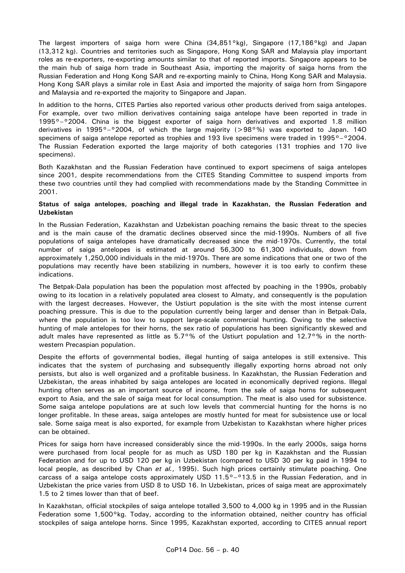The largest importers of saiga horn were China (34,851°kg), Singapore (17,186°kg) and Japan (13,312 kg). Countries and territories such as Singapore, Hong Kong SAR and Malaysia play important roles as re-exporters, re-exporting amounts similar to that of reported imports. Singapore appears to be the main hub of saiga horn trade in Southeast Asia, importing the majority of saiga horns from the Russian Federation and Hong Kong SAR and re-exporting mainly to China, Hong Kong SAR and Malaysia. Hong Kong SAR plays a similar role in East Asia and imported the majority of saiga horn from Singapore and Malaysia and re-exported the majority to Singapore and Japan.

In addition to the horns, CITES Parties also reported various other products derived from saiga antelopes. For example, over two million derivatives containing saiga antelope have been reported in trade in 1995°–°2004. China is the biggest exporter of saiga horn derivatives and exported 1.8 million derivatives in 1995°-°2004, of which the large majority (>98°%) was exported to Japan. 140 specimens of saiga antelope reported as trophies and 193 live specimens were traded in 1995°–°2004. The Russian Federation exported the large majority of both categories (131 trophies and 170 live specimens).

Both Kazakhstan and the Russian Federation have continued to export specimens of saiga antelopes since 2001, despite recommendations from the CITES Standing Committee to suspend imports from these two countries until they had complied with recommendations made by the Standing Committee in 2001.

## **Status of saiga antelopes, poaching and illegal trade in Kazakhstan, the Russian Federation and Uzbekistan**

In the Russian Federation, Kazakhstan and Uzbekistan poaching remains the basic threat to the species and is the main cause of the dramatic declines observed since the mid-1990s. Numbers of all five populations of saiga antelopes have dramatically decreased since the mid-1970s. Currently, the total number of saiga antelopes is estimated at around 56,300 to 61,300 individuals, down from approximately 1,250,000 individuals in the mid-1970s. There are some indications that one or two of the populations may recently have been stabilizing in numbers, however it is too early to confirm these indications.

The Betpak-Dala population has been the population most affected by poaching in the 1990s, probably owing to its location in a relatively populated area closest to Almaty, and consequently is the population with the largest decreases. However, the Ustiurt population is the site with the most intense current poaching pressure. This is due to the population currently being larger and denser than in Betpak-Dala, where the population is too low to support large-scale commercial hunting. Owing to the selective hunting of male antelopes for their horns, the sex ratio of populations has been significantly skewed and adult males have represented as little as 5.7°% of the Ustiurt population and 12.7°% in the northwestern Precaspian population.

Despite the efforts of governmental bodies, illegal hunting of saiga antelopes is still extensive. This indicates that the system of purchasing and subsequently illegally exporting horns abroad not only persists, but also is well organized and a profitable business. In Kazakhstan, the Russian Federation and Uzbekistan, the areas inhabited by saiga antelopes are located in economically deprived regions. Illegal hunting often serves as an important source of income, from the sale of saiga horns for subsequent export to Asia, and the sale of saiga meat for local consumption. The meat is also used for subsistence. Some saiga antelope populations are at such low levels that commercial hunting for the horns is no longer profitable. In these areas, saiga antelopes are mostly hunted for meat for subsistence use or local sale. Some saiga meat is also exported, for example from Uzbekistan to Kazakhstan where higher prices can be obtained.

Prices for saiga horn have increased considerably since the mid-1990s. In the early 2000s, saiga horns were purchased from local people for as much as USD 180 per kg in Kazakhstan and the Russian Federation and for up to USD 120 per kg in Uzbekistan (compared to USD 30 per kg paid in 1994 to local people, as described by Chan *et al.*, 1995). Such high prices certainly stimulate poaching. One carcass of a saiga antelope costs approximately USD  $11.5^{\circ}$ – $^{\circ}13.5$  in the Russian Federation, and in Uzbekistan the price varies from USD 8 to USD 16. In Uzbekistan, prices of saiga meat are approximately 1.5 to 2 times lower than that of beef.

In Kazakhstan, official stockpiles of saiga antelope totalled 3,500 to 4,000 kg in 1995 and in the Russian Federation some 1,500°kg. Today, according to the information obtained, neither country has official stockpiles of saiga antelope horns. Since 1995, Kazakhstan exported, according to CITES annual report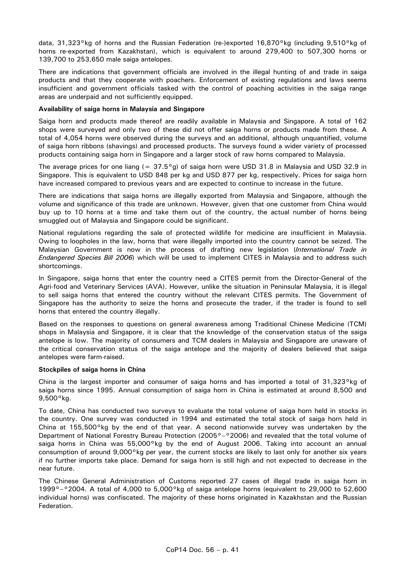data, 31,323°kg of horns and the Russian Federation (re-)exported 16,870°kg (including 9,510°kg of horns re-exported from Kazakhstan), which is equivalent to around 279,400 to 507,300 horns or 139,700 to 253,650 male saiga antelopes.

There are indications that government officials are involved in the illegal hunting of and trade in saiga products and that they cooperate with poachers. Enforcement of existing regulations and laws seems insufficient and government officials tasked with the control of poaching activities in the saiga range areas are underpaid and not sufficiently equipped.

## **Availability of saiga horns in Malaysia and Singapore**

Saiga horn and products made thereof are readily available in Malaysia and Singapore. A total of 162 shops were surveyed and only two of these did not offer saiga horns or products made from these. A total of 4,054 horns were observed during the surveys and an additional, although unquantified, volume of saiga horn ribbons (shavings) and processed products. The surveys found a wider variety of processed products containing saiga horn in Singapore and a larger stock of raw horns compared to Malaysia.

The average prices for one liang  $(= 37.5°g)$  of saiga horn were USD 31.8 in Malaysia and USD 32.9 in Singapore. This is equivalent to USD 848 per kg and USD 877 per kg, respectively. Prices for saiga horn have increased compared to previous years and are expected to continue to increase in the future.

There are indications that saiga horns are illegally exported from Malaysia and Singapore, although the volume and significance of this trade are unknown. However, given that one customer from China would buy up to 10 horns at a time and take them out of the country, the actual number of horns being smuggled out of Malaysia and Singapore could be significant.

National regulations regarding the sale of protected wildlife for medicine are insufficient in Malaysia. Owing to loopholes in the law, horns that were illegally imported into the country cannot be seized. The Malaysian Government is now in the process of drafting new legislation (*International Trade in Endangered Species Bill 2006*) which will be used to implement CITES in Malaysia and to address such shortcomings.

In Singapore, saiga horns that enter the country need a CITES permit from the Director-General of the Agri-food and Veterinary Services (AVA). However, unlike the situation in Peninsular Malaysia, it is illegal to sell saiga horns that entered the country without the relevant CITES permits. The Government of Singapore has the authority to seize the horns and prosecute the trader, if the trader is found to sell horns that entered the country illegally.

Based on the responses to questions on general awareness among Traditional Chinese Medicine (TCM) shops in Malaysia and Singapore, it is clear that the knowledge of the conservation status of the saiga antelope is low. The majority of consumers and TCM dealers in Malaysia and Singapore are unaware of the critical conservation status of the saiga antelope and the majority of dealers believed that saiga antelopes were farm-raised.

## **Stockpiles of saiga horns in China**

China is the largest importer and consumer of saiga horns and has imported a total of 31,323°kg of saiga horns since 1995. Annual consumption of saiga horn in China is estimated at around 8,500 and 9,500°kg.

To date, China has conducted two surveys to evaluate the total volume of saiga horn held in stocks in the country. One survey was conducted in 1994 and estimated the total stock of saiga horn held in China at 155,500°kg by the end of that year. A second nationwide survey was undertaken by the Department of National Forestry Bureau Protection (2005°–°2006) and revealed that the total volume of saiga horns in China was 55,000°kg by the end of August 2006. Taking into account an annual consumption of around 9,000°kg per year, the current stocks are likely to last only for another six years if no further imports take place. Demand for saiga horn is still high and not expected to decrease in the near future.

The Chinese General Administration of Customs reported 27 cases of illegal trade in saiga horn in 1999°–°2004. A total of 4,000 to 5,000°kg of saiga antelope horns (equivalent to 29,000 to 52,600 individual horns) was confiscated. The majority of these horns originated in Kazakhstan and the Russian Federation.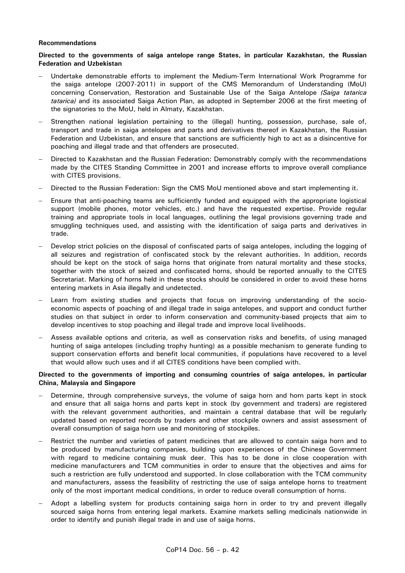## **Recommendations**

# **Directed to the governments of saiga antelope range States, in particular Kazakhstan, the Russian Federation and Uzbekistan**

- − Undertake demonstrable efforts to implement the Medium-Term International Work Programme for the saiga antelope (2007-2011) in support of the CMS Memorandum of Understanding (MoU) concerning Conservation, Restoration and Sustainable Use of the Saiga Antelope *(Saiga tatarica tatarica)* and its associated Saiga Action Plan, as adopted in September 2006 at the first meeting of the signatories to the MoU, held in Almaty, Kazakhstan.
- − Strengthen national legislation pertaining to the (illegal) hunting, possession, purchase, sale of, transport and trade in saiga antelopes and parts and derivatives thereof in Kazakhstan, the Russian Federation and Uzbekistan, and ensure that sanctions are sufficiently high to act as a disincentive for poaching and illegal trade and that offenders are prosecuted.
- Directed to Kazakhstan and the Russian Federation: Demonstrably comply with the recommendations made by the CITES Standing Committee in 2001 and increase efforts to improve overall compliance with CITES provisions.
- − Directed to the Russian Federation: Sign the CMS MoU mentioned above and start implementing it.
- − Ensure that anti-poaching teams are sufficiently funded and equipped with the appropriate logistical support (mobile phones, motor vehicles, etc.) and have the requested expertise. Provide regular training and appropriate tools in local languages, outlining the legal provisions governing trade and smuggling techniques used, and assisting with the identification of saiga parts and derivatives in trade.
- Develop strict policies on the disposal of confiscated parts of saiga antelopes, including the logging of all seizures and registration of confiscated stock by the relevant authorities. In addition, records should be kept on the stock of saiga horns that originate from natural mortality and these stocks, together with the stock of seized and confiscated horns, should be reported annually to the CITES Secretariat. Marking of horns held in these stocks should be considered in order to avoid these horns entering markets in Asia illegally and undetected.
- Learn from existing studies and projects that focus on improving understanding of the socioeconomic aspects of poaching of and illegal trade in saiga antelopes, and support and conduct further studies on that subject in order to inform conservation and community-based projects that aim to develop incentives to stop poaching and illegal trade and improve local livelihoods.
- Assess available options and criteria, as well as conservation risks and benefits, of using managed hunting of saiga antelopes (including trophy hunting) as a possible mechanism to generate funding to support conservation efforts and benefit local communities, if populations have recovered to a level that would allow such uses and if all CITES conditions have been complied with.

# **Directed to the governments of importing and consuming countries of saiga antelopes, in particular China, Malaysia and Singapore**

- Determine, through comprehensive surveys, the volume of saiga horn and horn parts kept in stock and ensure that all saiga horns and parts kept in stock (by government and traders) are registered with the relevant government authorities, and maintain a central database that will be regularly updated based on reported records by traders and other stockpile owners and assist assessment of overall consumption of saiga horn use and monitoring of stockpiles.
- − Restrict the number and varieties of patent medicines that are allowed to contain saiga horn and to be produced by manufacturing companies, building upon experiences of the Chinese Government with regard to medicine containing musk deer. This has to be done in close cooperation with medicine manufacturers and TCM communities in order to ensure that the objectives and aims for such a restriction are fully understood and supported. In close collaboration with the TCM community and manufacturers, assess the feasibility of restricting the use of saiga antelope horns to treatment only of the most important medical conditions, in order to reduce overall consumption of horns.
- − Adopt a labelling system for products containing saiga horn in order to try and prevent illegally sourced saiga horns from entering legal markets. Examine markets selling medicinals nationwide in order to identify and punish illegal trade in and use of saiga horns.